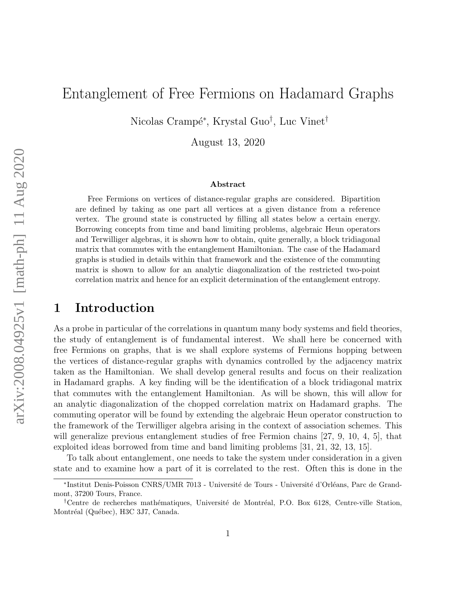# Entanglement of Free Fermions on Hadamard Graphs

Nicolas Crampé\*, Krystal Guo<sup>†</sup>, Luc Vinet<sup>†</sup>

August 13, 2020

#### Abstract

Free Fermions on vertices of distance-regular graphs are considered. Bipartition are defined by taking as one part all vertices at a given distance from a reference vertex. The ground state is constructed by filling all states below a certain energy. Borrowing concepts from time and band limiting problems, algebraic Heun operators and Terwilliger algebras, it is shown how to obtain, quite generally, a block tridiagonal matrix that commutes with the entanglement Hamiltonian. The case of the Hadamard graphs is studied in details within that framework and the existence of the commuting matrix is shown to allow for an analytic diagonalization of the restricted two-point correlation matrix and hence for an explicit determination of the entanglement entropy.

# 1 Introduction

As a probe in particular of the correlations in quantum many body systems and field theories, the study of entanglement is of fundamental interest. We shall here be concerned with free Fermions on graphs, that is we shall explore systems of Fermions hopping between the vertices of distance-regular graphs with dynamics controlled by the adjacency matrix taken as the Hamiltonian. We shall develop general results and focus on their realization in Hadamard graphs. A key finding will be the identification of a block tridiagonal matrix that commutes with the entanglement Hamiltonian. As will be shown, this will allow for an analytic diagonalization of the chopped correlation matrix on Hadamard graphs. The commuting operator will be found by extending the algebraic Heun operator construction to the framework of the Terwilliger algebra arising in the context of association schemes. This will generalize previous entanglement studies of free Fermion chains [27, 9, 10, 4, 5], that exploited ideas borrowed from time and band limiting problems [31, 21, 32, 13, 15].

To talk about entanglement, one needs to take the system under consideration in a given state and to examine how a part of it is correlated to the rest. Often this is done in the

<sup>\*</sup>Institut Denis-Poisson CNRS/UMR 7013 - Université de Tours - Université d'Orléans, Parc de Grandmont, 37200 Tours, France.

<sup>&</sup>lt;sup>†</sup>Centre de recherches mathématiques, Université de Montréal, P.O. Box 6128, Centre-ville Station, Montréal (Québec), H3C 3J7, Canada.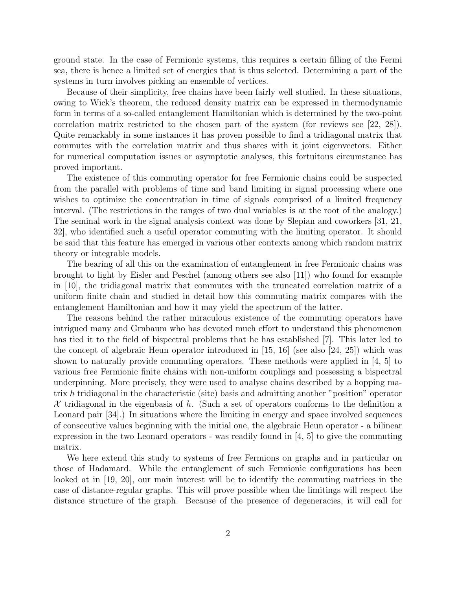ground state. In the case of Fermionic systems, this requires a certain filling of the Fermi sea, there is hence a limited set of energies that is thus selected. Determining a part of the systems in turn involves picking an ensemble of vertices.

Because of their simplicity, free chains have been fairly well studied. In these situations, owing to Wick's theorem, the reduced density matrix can be expressed in thermodynamic form in terms of a so-called entanglement Hamiltonian which is determined by the two-point correlation matrix restricted to the chosen part of the system (for reviews see [22, 28]). Quite remarkably in some instances it has proven possible to find a tridiagonal matrix that commutes with the correlation matrix and thus shares with it joint eigenvectors. Either for numerical computation issues or asymptotic analyses, this fortuitous circumstance has proved important.

The existence of this commuting operator for free Fermionic chains could be suspected from the parallel with problems of time and band limiting in signal processing where one wishes to optimize the concentration in time of signals comprised of a limited frequency interval. (The restrictions in the ranges of two dual variables is at the root of the analogy.) The seminal work in the signal analysis context was done by Slepian and coworkers [31, 21, 32], who identified such a useful operator commuting with the limiting operator. It should be said that this feature has emerged in various other contexts among which random matrix theory or integrable models.

The bearing of all this on the examination of entanglement in free Fermionic chains was brought to light by Eisler and Peschel (among others see also [11]) who found for example in [10], the tridiagonal matrix that commutes with the truncated correlation matrix of a uniform finite chain and studied in detail how this commuting matrix compares with the entanglement Hamiltonian and how it may yield the spectrum of the latter.

The reasons behind the rather miraculous existence of the commuting operators have intrigued many and Grnbaum who has devoted much effort to understand this phenomenon has tied it to the field of bispectral problems that he has established [7]. This later led to the concept of algebraic Heun operator introduced in  $|15, 16|$  (see also  $|24, 25|$ ) which was shown to naturally provide commuting operators. These methods were applied in [4, 5] to various free Fermionic finite chains with non-uniform couplings and possessing a bispectral underpinning. More precisely, they were used to analyse chains described by a hopping matrix h tridiagonal in the characteristic (site) basis and admitting another "position" operator X tridiagonal in the eigenbasis of h. (Such a set of operators conforms to the definition a Leonard pair [34].) In situations where the limiting in energy and space involved sequences of consecutive values beginning with the initial one, the algebraic Heun operator - a bilinear expression in the two Leonard operators - was readily found in  $\vert 4, 5 \vert$  to give the commuting matrix.

We here extend this study to systems of free Fermions on graphs and in particular on those of Hadamard. While the entanglement of such Fermionic configurations has been looked at in [19, 20], our main interest will be to identify the commuting matrices in the case of distance-regular graphs. This will prove possible when the limitings will respect the distance structure of the graph. Because of the presence of degeneracies, it will call for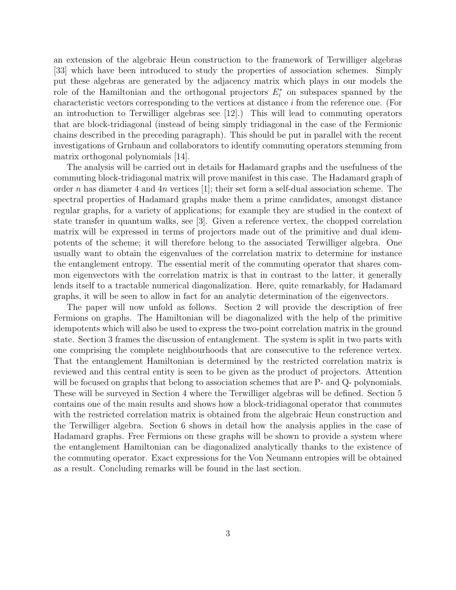an extension of the algebraic Heun construction to the framework of Terwilliger algebras [33] which have been introduced to study the properties of association schemes. Simply put these algebras are generated by the adjacency matrix which plays in our models the role of the Hamiltonian and the orthogonal projectors  $E_i^*$  on subspaces spanned by the characteristic vectors corresponding to the vertices at distance i from the reference one. (For an introduction to Terwilliger algebras see [12].) This will lead to commuting operators that are block-tridiagonal (instead of being simply tridiagonal in the case of the Fermionic chains described in the preceding paragraph). This should be put in parallel with the recent investigations of Grnbaun and collaborators to identify commuting operators stemming from matrix orthogonal polynomials [14].

The analysis will be carried out in details for Hadamard graphs and the usefulness of the commuting block-tridiagonal matrix will prove manifest in this case. The Hadamard graph of order n has diameter 4 and  $4n$  vertices [1]; their set form a self-dual association scheme. The spectral properties of Hadamard graphs make them a prime candidates, amongst distance regular graphs, for a variety of applications; for example they are studied in the context of state transfer in quantum walks, see [3]. Given a reference vertex, the chopped correlation matrix will be expressed in terms of projectors made out of the primitive and dual idempotents of the scheme; it will therefore belong to the associated Terwilliger algebra. One usually want to obtain the eigenvalues of the correlation matrix to determine for instance the entanglement entropy. The essential merit of the commuting operator that shares common eigenvectors with the correlation matrix is that in contrast to the latter, it generally lends itself to a tractable numerical diagonalization. Here, quite remarkably, for Hadamard graphs, it will be seen to allow in fact for an analytic determination of the eigenvectors.

The paper will now unfold as follows. Section 2 will provide the description of free Fermions on graphs. The Hamiltonian will be diagonalized with the help of the primitive idempotents which will also be used to express the two-point correlation matrix in the ground state. Section 3 frames the discussion of entanglement. The system is split in two parts with one comprising the complete neighbourhoods that are consecutive to the reference vertex. That the entanglement Hamiltonian is determined by the restricted correlation matrix is reviewed and this central entity is seen to be given as the product of projectors. Attention will be focused on graphs that belong to association schemes that are P- and Q- polynomials. These will be surveyed in Section 4 where the Terwilliger algebras will be defined. Section 5 contains one of the main results and shows how a block-tridiagonal operator that commutes with the restricted correlation matrix is obtained from the algebraic Heun construction and the Terwilliger algebra. Section 6 shows in detail how the analysis applies in the case of Hadamard graphs. Free Fermions on these graphs will be shown to provide a system where the entanglement Hamiltonian can be diagonalized analytically thanks to the existence of the commuting operator. Exact expressions for the Von Neumann entropies will be obtained as a result. Concluding remarks will be found in the last section.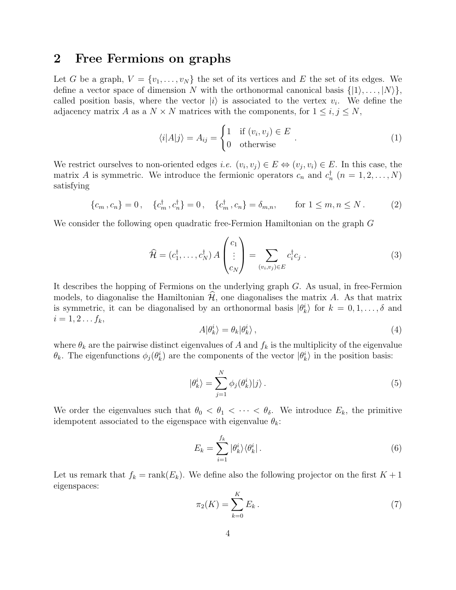# 2 Free Fermions on graphs

Let G be a graph,  $V = \{v_1, \ldots, v_N\}$  the set of its vertices and E the set of its edges. We define a vector space of dimension N with the orthonormal canonical basis  $\{|1\rangle, \ldots, |N\rangle\},\$ called position basis, where the vector  $|i\rangle$  is associated to the vertex  $v_i$ . We define the adjacency matrix A as a  $N \times N$  matrices with the components, for  $1 \leq i, j \leq N$ ,

$$
\langle i|A|j\rangle = A_{ij} = \begin{cases} 1 & \text{if } (v_i, v_j) \in E \\ 0 & \text{otherwise} \end{cases} . \tag{1}
$$

We restrict ourselves to non-oriented edges *i.e.*  $(v_i, v_j) \in E \Leftrightarrow (v_j, v_i) \in E$ . In this case, the matrix A is symmetric. We introduce the fermionic operators  $c_n$  and  $c_n^{\dagger}$   $(n = 1, 2, ..., N)$ satisfying

$$
\{c_m, c_n\} = 0, \quad \{c_m^{\dagger}, c_n^{\dagger}\} = 0, \quad \{c_m^{\dagger}, c_n\} = \delta_{m,n}, \quad \text{for } 1 \le m, n \le N. \tag{2}
$$

We consider the following open quadratic free-Fermion Hamiltonian on the graph G

$$
\widehat{\mathcal{H}} = (c_1^{\dagger}, \dots, c_N^{\dagger}) A \begin{pmatrix} c_1 \\ \vdots \\ c_N \end{pmatrix} = \sum_{(v_i, v_j) \in E} c_i^{\dagger} c_j . \tag{3}
$$

It describes the hopping of Fermions on the underlying graph G. As usual, in free-Fermion models, to diagonalise the Hamiltonian  $\mathcal{H}$ , one diagonalises the matrix A. As that matrix is symmetric, it can be diagonalised by an orthonormal basis  $|\theta_k^i\rangle$  for  $k = 0, 1, \ldots, \delta$  and  $i = 1, 2 \ldots f_k,$ 

$$
A|\theta_k^i\rangle = \theta_k|\theta_k^i\rangle\,,\tag{4}
$$

where  $\theta_k$  are the pairwise distinct eigenvalues of A and  $f_k$  is the multiplicity of the eigenvalue  $\theta_k$ . The eigenfunctions  $\phi_j(\theta_k^i)$  are the components of the vector  $|\theta_k^i\rangle$  in the position basis:

$$
|\theta_k^i\rangle = \sum_{j=1}^N \phi_j(\theta_k^i)|j\rangle.
$$
 (5)

We order the eigenvalues such that  $\theta_0 < \theta_1 < \cdots < \theta_{\delta}$ . We introduce  $E_k$ , the primitive idempotent associated to the eigenspace with eigenvalue  $\theta_k$ :

$$
E_k = \sum_{i=1}^{f_k} |\theta_k^i\rangle\langle\theta_k^i| \,. \tag{6}
$$

Let us remark that  $f_k = \text{rank}(E_k)$ . We define also the following projector on the first  $K + 1$ eigenspaces:

$$
\pi_2(K) = \sum_{k=0}^{K} E_k \,. \tag{7}
$$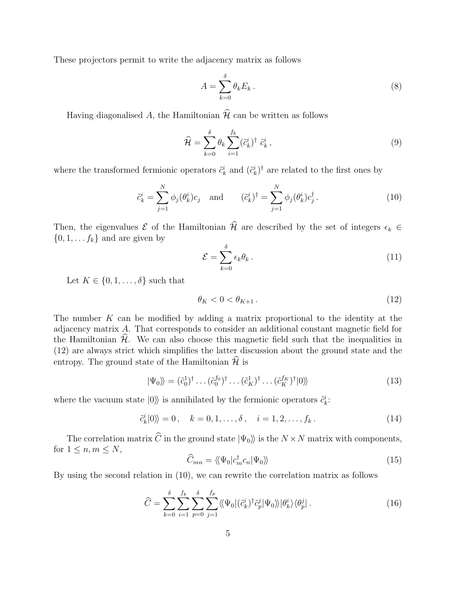These projectors permit to write the adjacency matrix as follows

$$
A = \sum_{k=0}^{\delta} \theta_k E_k \,. \tag{8}
$$

Having diagonalised A, the Hamiltonian  $\widehat{\mathcal{H}}$  can be written as follows

$$
\widehat{\mathcal{H}} = \sum_{k=0}^{\delta} \theta_k \sum_{i=1}^{f_k} (\tilde{c}_k^i)^{\dagger} \tilde{c}_k^i , \qquad (9)
$$

where the transformed fermionic operators  $\tilde{c}_k^i$  and  $(\tilde{c}_k^i)^{\dagger}$  are related to the first ones by

$$
\tilde{c}_k^i = \sum_{j=1}^N \phi_j(\theta_k^i) c_j \quad \text{and} \quad (\tilde{c}_k^i)^\dagger = \sum_{j=1}^N \phi_j(\theta_k^i) c_j^\dagger \,. \tag{10}
$$

Then, the eigenvalues  $\mathcal E$  of the Hamiltonian  $\widehat{\mathcal{H}}$  are described by the set of integers  $\epsilon_k \in$  $\{0, 1, \ldots, f_k\}$  and are given by

$$
\mathcal{E} = \sum_{k=0}^{\delta} \epsilon_k \theta_k \,. \tag{11}
$$

Let  $K \in \{0, 1, \ldots, \delta\}$  such that

$$
\theta_K < 0 < \theta_{K+1} \tag{12}
$$

The number  $K$  can be modified by adding a matrix proportional to the identity at the adjacency matrix A. That corresponds to consider an additional constant magnetic field for the Hamiltonian  $H$ . We can also choose this magnetic field such that the inequalities in (12) are always strict which simplifies the latter discussion about the ground state and the entropy. The ground state of the Hamiltonian  $\widehat{\mathcal{H}}$  is

$$
|\Psi_0\rangle\!\rangle = (\tilde{c}_0^1)^\dagger \dots (\tilde{c}_0^{f_0})^\dagger \dots (\tilde{c}_K^1)^\dagger \dots (\tilde{c}_K^{f_K})^\dagger |0\rangle\!\rangle \tag{13}
$$

where the vacuum state  $|0\rangle\rangle$  is annihilated by the fermionic operators  $\tilde{c}_k^i$ :

$$
\tilde{c}_k^i|0\rangle = 0, \quad k = 0, 1, \dots, \delta, \quad i = 1, 2, \dots, f_k. \tag{14}
$$

The correlation matrix  $\widehat{C}$  in the ground state  $|\Psi_0\rangle$  is the  $N \times N$  matrix with components, for  $1 \leq n, m \leq N$ ,

$$
\widehat{C}_{mn} = \langle \langle \Psi_0 | c_m^{\dagger} c_n | \Psi_0 \rangle \rangle \tag{15}
$$

By using the second relation in (10), we can rewrite the correlation matrix as follows

$$
\widehat{C} = \sum_{k=0}^{\delta} \sum_{i=1}^{f_k} \sum_{p=0}^{\delta} \sum_{j=1}^{f_p} \langle \langle \Psi_0 | (\tilde{c}_k^i)^\dagger \tilde{c}_p^j | \Psi_0 \rangle \rangle | \theta_k^i \rangle \langle \theta_p^j | . \tag{16}
$$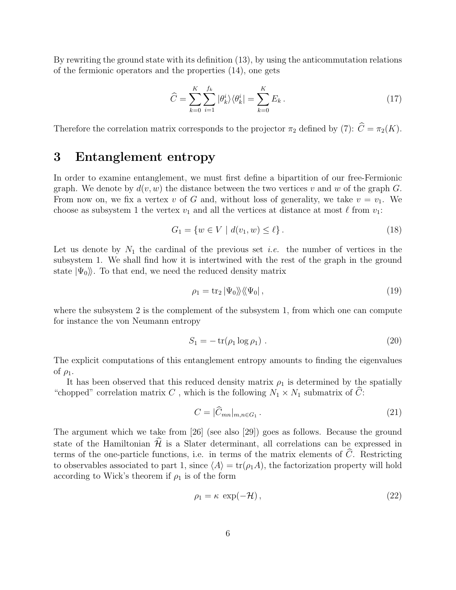By rewriting the ground state with its definition (13), by using the anticommutation relations of the fermionic operators and the properties (14), one gets

$$
\widehat{C} = \sum_{k=0}^{K} \sum_{i=1}^{f_k} |\theta_k^i\rangle\langle\theta_k^i| = \sum_{k=0}^{K} E_k.
$$
\n(17)

Therefore the correlation matrix corresponds to the projector  $\pi_2$  defined by (7):  $\hat{C} = \pi_2(K)$ .

# 3 Entanglement entropy

In order to examine entanglement, we must first define a bipartition of our free-Fermionic graph. We denote by  $d(v, w)$  the distance between the two vertices v and w of the graph G. From now on, we fix a vertex v of G and, without loss of generality, we take  $v = v_1$ . We choose as subsystem 1 the vertex  $v_1$  and all the vertices at distance at most  $\ell$  from  $v_1$ :

$$
G_1 = \{ w \in V \mid d(v_1, w) \le \ell \}.
$$
\n(18)

Let us denote by  $N_1$  the cardinal of the previous set *i.e.* the number of vertices in the subsystem 1. We shall find how it is intertwined with the rest of the graph in the ground state  $|\Psi_0\rangle$ . To that end, we need the reduced density matrix

$$
\rho_1 = \text{tr}_2 \left| \Psi_0 \right\rangle \! \left\langle \! \left\langle \Psi_0 \right|, \right. \tag{19}
$$

where the subsystem 2 is the complement of the subsystem 1, from which one can compute for instance the von Neumann entropy

$$
S_1 = -\operatorname{tr}(\rho_1 \log \rho_1) \tag{20}
$$

The explicit computations of this entanglement entropy amounts to finding the eigenvalues of  $\rho_1$ .

It has been observed that this reduced density matrix  $\rho_1$  is determined by the spatially "chopped" correlation matrix C, which is the following  $N_1 \times N_1$  submatrix of C:

$$
C = |\widehat{C}_{mn}|_{m,n \in G_1}.
$$
\n(21)

The argument which we take from [26] (see also [29]) goes as follows. Because the ground state of the Hamiltonian  $\widehat{\mathcal{H}}$  is a Slater determinant, all correlations can be expressed in terms of the one-particle functions, i.e. in terms of the matrix elements of  $\ddot{C}$ . Restricting to observables associated to part 1, since  $\langle A \rangle = \text{tr}(\rho_1 A)$ , the factorization property will hold according to Wick's theorem if  $\rho_1$  is of the form

$$
\rho_1 = \kappa \, \exp(-\mathcal{H}), \qquad (22)
$$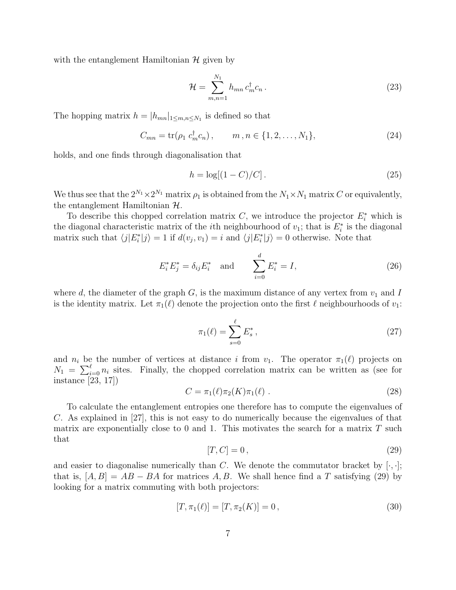with the entanglement Hamiltonian  $\mathcal H$  given by

$$
\mathcal{H} = \sum_{m,n=1}^{N_1} h_{mn} c_m^{\dagger} c_n \,. \tag{23}
$$

The hopping matrix  $h = |h_{mn}|_{1 \leq m,n \leq N_1}$  is defined so that

$$
C_{mn} = \text{tr}(\rho_1 \ c_m^{\dagger} c_n), \qquad m, n \in \{1, 2, \dots, N_1\},\tag{24}
$$

holds, and one finds through diagonalisation that

$$
h = \log[(1 - C)/C].\tag{25}
$$

We thus see that the  $2^{N_1} \times 2^{N_1}$  matrix  $\rho_1$  is obtained from the  $N_1 \times N_1$  matrix C or equivalently, the entanglement Hamiltonian  $H$ .

To describe this chopped correlation matrix  $C$ , we introduce the projector  $E_i^*$  which is the diagonal characteristic matrix of the *i*<sup>th</sup> neighbourhood of  $v_1$ ; that is  $E_i^*$  is the diagonal matrix such that  $\langle j|E^*_i|j\rangle = 1$  if  $d(v_j, v_1) = i$  and  $\langle j|E^*_i|j\rangle = 0$  otherwise. Note that

$$
E_i^* E_j^* = \delta_{ij} E_i^* \quad \text{and} \qquad \sum_{i=0}^d E_i^* = I,\tag{26}
$$

where d, the diameter of the graph  $G$ , is the maximum distance of any vertex from  $v_1$  and I is the identity matrix. Let  $\pi_1(\ell)$  denote the projection onto the first  $\ell$  neighbourhoods of  $v_1$ :

$$
\pi_1(\ell) = \sum_{s=0}^{\ell} E_s^*,\tag{27}
$$

and  $n_i$  be the number of vertices at distance i from  $v_1$ . The operator  $\pi_1(\ell)$  projects on  $N_1 = \sum_{i=0}^{\ell} n_i$  sites. Finally, the chopped correlation matrix can be written as (see for instance [23, 17])

$$
C = \pi_1(\ell) \pi_2(K) \pi_1(\ell) \ . \tag{28}
$$

To calculate the entanglement entropies one therefore has to compute the eigenvalues of C. As explained in [27], this is not easy to do numerically because the eigenvalues of that matrix are exponentially close to 0 and 1. This motivates the search for a matrix  $T$  such that

$$
[T, C] = 0,\t\t(29)
$$

and easier to diagonalise numerically than C. We denote the commutator bracket by  $[\cdot, \cdot]$ ; that is,  $[A, B] = AB - BA$  for matrices A, B. We shall hence find a T satisfying (29) by looking for a matrix commuting with both projectors:

$$
[T, \pi_1(\ell)] = [T, \pi_2(K)] = 0, \qquad (30)
$$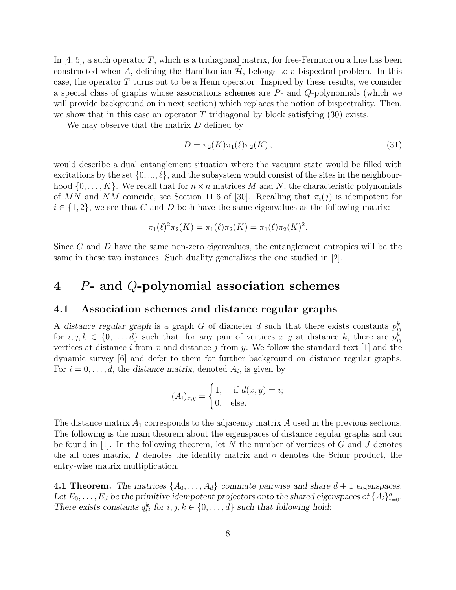In  $[4, 5]$ , a such operator T, which is a tridiagonal matrix, for free-Fermion on a line has been constructed when A, defining the Hamiltonian  $\widehat{\mathcal{H}}$ , belongs to a bispectral problem. In this case, the operator T turns out to be a Heun operator. Inspired by these results, we consider a special class of graphs whose associations schemes are P- and Q-polynomials (which we will provide background on in next section) which replaces the notion of bispectrality. Then, we show that in this case an operator  $T$  tridiagonal by block satisfying (30) exists.

We may observe that the matrix D defined by

$$
D = \pi_2(K)\pi_1(\ell)\pi_2(K)\,,\tag{31}
$$

would describe a dual entanglement situation where the vacuum state would be filled with excitations by the set  $\{0, ..., \ell\}$ , and the subsystem would consist of the sites in the neighbourhood  $\{0, \ldots, K\}$ . We recall that for  $n \times n$  matrices M and N, the characteristic polynomials of MN and NM coincide, see Section 11.6 of [30]. Recalling that  $\pi_i(i)$  is idempotent for  $i \in \{1, 2\}$ , we see that C and D both have the same eigenvalues as the following matrix:

$$
\pi_1(\ell)^2 \pi_2(K) = \pi_1(\ell) \pi_2(K) = \pi_1(\ell) \pi_2(K)^2.
$$

Since C and D have the same non-zero eigenvalues, the entanglement entropies will be the same in these two instances. Such duality generalizes the one studied in [2].

# 4 P- and Q-polynomial association schemes

### 4.1 Association schemes and distance regular graphs

A distance regular graph is a graph G of diameter d such that there exists constants  $p_{ij}^k$ for  $i, j, k \in \{0, \ldots, d\}$  such that, for any pair of vertices  $x, y$  at distance k, there are  $p_{ij}^k$ vertices at distance i from x and distance j from y. We follow the standard text [1] and the dynamic survey [6] and defer to them for further background on distance regular graphs. For  $i = 0, \ldots, d$ , the distance matrix, denoted  $A_i$ , is given by

$$
(A_i)_{x,y} = \begin{cases} 1, & \text{if } d(x,y) = i; \\ 0, & \text{else.} \end{cases}
$$

The distance matrix  $A_1$  corresponds to the adjacency matrix  $A$  used in the previous sections. The following is the main theorem about the eigenspaces of distance regular graphs and can be found in  $[1]$ . In the following theorem, let N the number of vertices of G and J denotes the all ones matrix, I denotes the identity matrix and  $\circ$  denotes the Schur product, the entry-wise matrix multiplication.

**4.1 Theorem.** The matrices  $\{A_0, \ldots, A_d\}$  commute pairwise and share  $d+1$  eigenspaces. Let  $E_0, \ldots, E_d$  be the primitive idempotent projectors onto the shared eigenspaces of  $\{A_i\}_{i=0}^d$ . There exists constants  $q_{ij}^k$  for  $i, j, k \in \{0, \ldots, d\}$  such that following hold: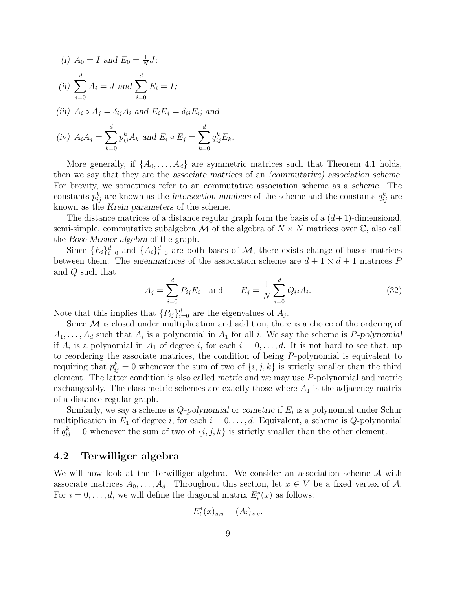(i) 
$$
A_0 = I
$$
 and  $E_0 = \frac{1}{N}J$ ;  
\n(ii)  $\sum_{i=0}^{d} A_i = J$  and  $\sum_{i=0}^{d} E_i = I$ ;  
\n(iii)  $A_i \circ A_j = \delta_{ij} A_i$  and  $E_i E_j = \delta_{ij} E_i$ ; and

$$
(iv) \ \ A_i A_j = \sum_{k=0}^{a} p_{ij}^k A_k \ \text{and} \ E_i \circ E_j = \sum_{k=0}^{a} q_{ij}^k E_k.
$$

More generally, if  $\{A_0, \ldots, A_d\}$  are symmetric matrices such that Theorem 4.1 holds, then we say that they are the associate matrices of an (commutative) association scheme. For brevity, we sometimes refer to an commutative association scheme as a scheme. The constants  $p_{ij}^k$  are known as the intersection numbers of the scheme and the constants  $q_{ij}^k$  are known as the Krein parameters of the scheme.

The distance matrices of a distance regular graph form the basis of a  $(d+1)$ -dimensional, semi-simple, commutative subalgebra  $\mathcal M$  of the algebra of  $N \times N$  matrices over  $\mathbb C$ , also call the Bose-Mesner algebra of the graph.

Since  ${E_i}_{i=0}^d$  and  ${A_i}_{i=0}^d$  are both bases of M, there exists change of bases matrices between them. The eigenmatrices of the association scheme are  $d + 1 \times d + 1$  matrices P and Q such that

$$
A_j = \sum_{i=0}^{d} P_{ij} E_i \text{ and } E_j = \frac{1}{N} \sum_{i=0}^{d} Q_{ij} A_i.
$$
 (32)

Note that this implies that  $\{P_{ij}\}_{i=0}^d$  are the eigenvalues of  $A_j$ .

Since  $\mathcal M$  is closed under multiplication and addition, there is a choice of the ordering of  $A_1, \ldots, A_d$  such that  $A_i$  is a polynomial in  $A_1$  for all i. We say the scheme is P-polynomial if  $A_i$  is a polynomial in  $A_1$  of degree i, for each  $i = 0, \ldots, d$ . It is not hard to see that, up to reordering the associate matrices, the condition of being P-polynomial is equivalent to requiring that  $p_{ij}^k = 0$  whenever the sum of two of  $\{i, j, k\}$  is strictly smaller than the third element. The latter condition is also called metric and we may use P-polynomial and metric exchangeably. The class metric schemes are exactly those where  $A_1$  is the adjacency matrix of a distance regular graph.

Similarly, we say a scheme is  $Q$ -polynomial or cometric if  $E_i$  is a polynomial under Schur multiplication in  $E_1$  of degree i, for each  $i = 0, \ldots, d$ . Equivalent, a scheme is Q-polynomial if  $q_{ij}^k = 0$  whenever the sum of two of  $\{i, j, k\}$  is strictly smaller than the other element.

## 4.2 Terwilliger algebra

We will now look at the Terwilliger algebra. We consider an association scheme A with associate matrices  $A_0, \ldots, A_d$ . Throughout this section, let  $x \in V$  be a fixed vertex of A. For  $i = 0, \ldots, d$ , we will define the diagonal matrix  $E_i^*(x)$  as follows:

$$
E_i^*(x)_{y,y} = (A_i)_{x,y}.
$$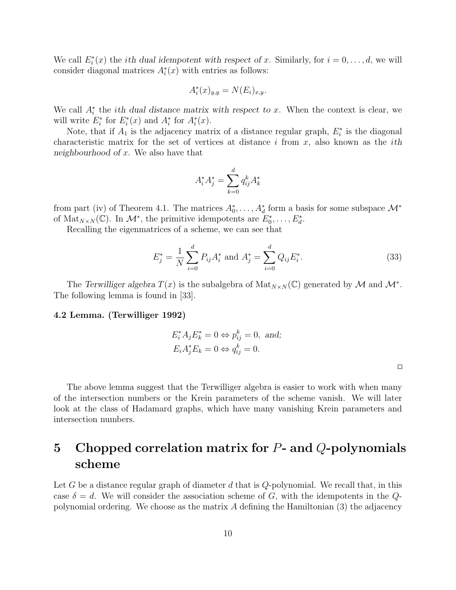We call  $E_i^*(x)$  the *i*th dual idempotent with respect of x. Similarly, for  $i = 0, \ldots, d$ , we will consider diagonal matrices  $A_i^*(x)$  with entries as follows:

$$
A_i^*(x)_{y,y} = N(E_i)_{x,y}.
$$

We call  $A_i^*$  the *i*th dual distance matrix with respect to x. When the context is clear, we will write  $E_i^*$  for  $E_i^*(x)$  and  $A_i^*$  for  $A_i^*(x)$ .

Note, that if  $A_1$  is the adjacency matrix of a distance regular graph,  $E_i^*$  is the diagonal characteristic matrix for the set of vertices at distance i from  $x$ , also known as the *i*th neighbourhood of  $x$ . We also have that

$$
A_i^* A_j^* = \sum_{k=0}^d q_{ij}^k A_k^*
$$

from part (iv) of Theorem 4.1. The matrices  $A_0^*, \ldots, A_d^*$  form a basis for some subspace  $\mathcal{M}^*$ of  $\text{Mat}_{N\times N}(\mathbb{C})$ . In  $\mathcal{M}^*$ , the primitive idempotents are  $E_0^*, \ldots, E_d^*$ .

Recalling the eigenmatrices of a scheme, we can see that

$$
E_j^* = \frac{1}{N} \sum_{i=0}^d P_{ij} A_i^* \text{ and } A_j^* = \sum_{i=0}^d Q_{ij} E_i^*.
$$
 (33)

The Terwilliger algebra  $T(x)$  is the subalgebra of  $\text{Mat}_{N\times N}(\mathbb{C})$  generated by M and  $\mathcal{M}^*$ . The following lemma is found in [33].

#### 4.2 Lemma. (Terwilliger 1992)

$$
E_i^* A_j E_k^* = 0 \Leftrightarrow p_{ij}^k = 0, \text{ and};
$$
  

$$
E_i A_j^* E_k = 0 \Leftrightarrow q_{ij}^k = 0.
$$

 $\Box$ 

The above lemma suggest that the Terwilliger algebra is easier to work with when many of the intersection numbers or the Krein parameters of the scheme vanish. We will later look at the class of Hadamard graphs, which have many vanishing Krein parameters and intersection numbers.

# 5 Chopped correlation matrix for  $P$ - and  $Q$ -polynomials scheme

Let G be a distance regular graph of diameter d that is  $Q$ -polynomial. We recall that, in this case  $\delta = d$ . We will consider the association scheme of G, with the idempotents in the Qpolynomial ordering. We choose as the matrix  $A$  defining the Hamiltonian  $(3)$  the adjacency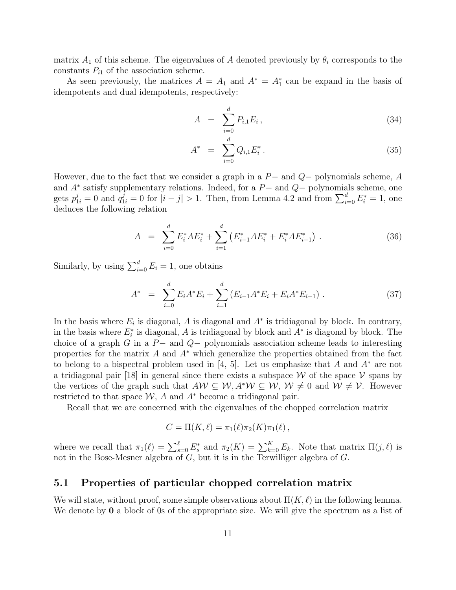matrix  $A_1$  of this scheme. The eigenvalues of A denoted previously by  $\theta_i$  corresponds to the constants  $P_{i1}$  of the association scheme.

As seen previously, the matrices  $A = A_1$  and  $A^* = A_1^*$  can be expand in the basis of idempotents and dual idempotents, respectively:

$$
A = \sum_{i=0}^{d} P_{i,1} E_i, \qquad (34)
$$

$$
A^* = \sum_{i=0}^d Q_{i,1} E_i^* \,. \tag{35}
$$

However, due to the fact that we consider a graph in a  $P-$  and  $Q-$  polynomials scheme, A and  $A^*$  satisfy supplementary relations. Indeed, for a  $P-$  and  $Q-$  polynomials scheme, one gets  $p_{1i}^j = 0$  and  $q_{1i}^j = 0$  for  $|i - j| > 1$ . Then, from Lemma 4.2 and from  $\sum_{i=0}^d E_i^* = 1$ , one deduces the following relation

$$
A = \sum_{i=0}^{d} E_i^* A E_i^* + \sum_{i=1}^{d} \left( E_{i-1}^* A E_i^* + E_i^* A E_{i-1}^* \right). \tag{36}
$$

Similarly, by using  $\sum_{i=0}^{d} E_i = 1$ , one obtains

$$
A^* = \sum_{i=0}^d E_i A^* E_i + \sum_{i=1}^d \left( E_{i-1} A^* E_i + E_i A^* E_{i-1} \right). \tag{37}
$$

In the basis where  $E_i$  is diagonal, A is diagonal and  $A^*$  is tridiagonal by block. In contrary, in the basis where  $E_i^*$  is diagonal, A is tridiagonal by block and  $A^*$  is diagonal by block. The choice of a graph G in a  $P-$  and  $Q-$  polynomials association scheme leads to interesting properties for the matrix A and  $A^*$  which generalize the properties obtained from the fact to belong to a bispectral problem used in [4, 5]. Let us emphasize that A and  $A^*$  are not a tridiagonal pair [18] in general since there exists a subspace W of the space V spans by the vertices of the graph such that  $A \mathcal{W} \subseteq \mathcal{W}, A^* \mathcal{W} \subseteq \mathcal{W}, \mathcal{W} \neq 0$  and  $\mathcal{W} \neq \mathcal{V}$ . However restricted to that space  $W$ , A and  $A^*$  become a tridiagonal pair.

Recall that we are concerned with the eigenvalues of the chopped correlation matrix

$$
C = \Pi(K, \ell) = \pi_1(\ell) \pi_2(K) \pi_1(\ell) ,
$$

where we recall that  $\pi_1(\ell) = \sum_{s=0}^{\ell} E_s^*$  and  $\pi_2(K) = \sum_{k=0}^{K} E_k$ . Note that matrix  $\Pi(j, \ell)$  is not in the Bose-Mesner algebra of G, but it is in the Terwilliger algebra of G.

### 5.1 Properties of particular chopped correlation matrix

We will state, without proof, some simple observations about  $\Pi(K, \ell)$  in the following lemma. We denote by **0** a block of 0s of the appropriate size. We will give the spectrum as a list of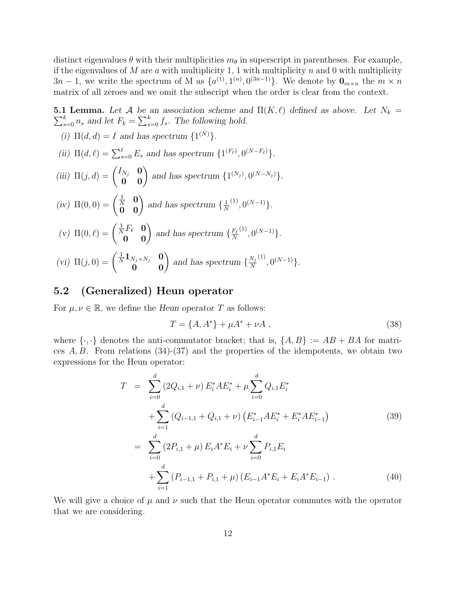distinct eigenvalues  $\theta$  with their multiplicities  $m_{\theta}$  in superscript in parentheses. For example, if the eigenvalues of M are a with multiplicity 1, 1 with multiplicity n and 0 with multiplicity  $3n-1$ , we write the spectrum of M as  $\{a^{(1)}, 1^{(n)}, 0^{(3n-1)}\}$ . We denote by  $\mathbf{0}_{m \times n}$  the  $m \times n$ matrix of all zeroes and we omit the subscript when the order is clear from the context.

**5.1 Lemma.** Let A be an association scheme and  $\Pi(K, \ell)$  defined as above. Let  $N_k =$  $\sum_{s=0}^{k} n_s$  and let  $F_k = \sum_{s=0}^{k} f_s$ . The following hold.

- (i)  $\Pi(d, d) = I$  and has spectrum  $\{1^{(N)}\}.$ (ii)  $\Pi(d,\ell) = \sum_{s=0}^{\ell} E_s$  and has spectrum  $\{1^{(F_{\ell})}, 0^{(N-F_{\ell})}\}.$
- (iii)  $\Pi(j, d) = \begin{pmatrix} I_{N_j} & \mathbf{0} \\ \mathbf{0} & \mathbf{0} \end{pmatrix}$  and has spectrum  $\{1^{(N_j)}, 0^{(N-N_j)}\}.$
- (iv)  $\Pi(0,0) = \begin{pmatrix} \frac{1}{N} & \mathbf{0} \\ \mathbf{0} & \mathbf{0} \end{pmatrix}$  and has spectrum  $\{\frac{1}{N}\}$ N  $(1), 0^{(N-1)}\}.$
- (v)  $\Pi(0,\ell) = \begin{pmatrix} \frac{1}{N}F_{\ell} & \mathbf{0} \\ \mathbf{0} & \mathbf{0} \end{pmatrix}$  and has spectrum  $\{\frac{F_{\ell}}{N}\}$ N  $(1), 0^{(N-1)}\}.$
- (vi)  $\Pi(j,0) = \begin{pmatrix} \frac{1}{N} \mathbf{1}_{N_j \times N_j} & \mathbf{0} \\ \mathbf{0} & \mathbf{0} \end{pmatrix}$  and has spectrum  $\{\frac{N_j}{N_j}\}$ N  $(1), 0^{(N-1)}\}.$

## 5.2 (Generalized) Heun operator

For  $\mu, \nu \in \mathbb{R}$ , we define the Heun operator T as follows:

$$
T = \{A, A^*\} + \mu A^* + \nu A \,,\tag{38}
$$

where  $\{\cdot,\cdot\}$  denotes the anti-commutator bracket; that is,  $\{A, B\} := AB + BA$  for matrices  $A, B$ . From relations (34)-(37) and the properties of the idempotents, we obtain two expressions for the Heun operator:

$$
T = \sum_{i=0}^{d} (2Q_{i,1} + \nu) E_i^* A E_i^* + \mu \sum_{i=0}^{d} Q_{i,1} E_i^*
$$
  
+ 
$$
\sum_{i=1}^{d} (Q_{i-1,1} + Q_{i,1} + \nu) (E_{i-1}^* A E_i^* + E_i^* A E_{i-1}^*)
$$
  
= 
$$
\sum_{i=0}^{d} (2P_{i,1} + \mu) E_i A^* E_i + \nu \sum_{i=0}^{d} P_{i,1} E_i
$$
 (39)

$$
+\sum_{i=1}^{d} \left(P_{i-1,1} + P_{i,1} + \mu\right) \left(E_{i-1}A^*E_i + E_iA^*E_{i-1}\right). \tag{40}
$$

We will give a choice of  $\mu$  and  $\nu$  such that the Heun operator commutes with the operator that we are considering.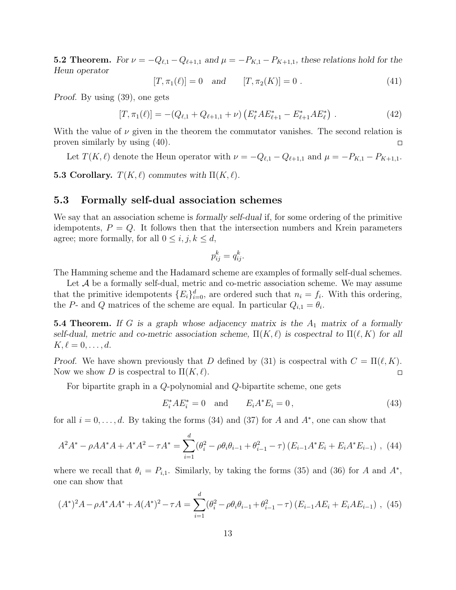**5.2 Theorem.** For  $\nu = -Q_{\ell,1} - Q_{\ell+1,1}$  and  $\mu = -P_{K,1} - P_{K+1,1}$ , these relations hold for the Heun operator

$$
[T, \pi_1(\ell)] = 0 \quad \text{and} \quad [T, \pi_2(K)] = 0 \tag{41}
$$

Proof. By using (39), one gets

$$
[T, \pi_1(\ell)] = -(Q_{\ell,1} + Q_{\ell+1,1} + \nu) \left( E_{\ell}^* A E_{\ell+1}^* - E_{\ell+1}^* A E_{\ell}^* \right). \tag{42}
$$

With the value of  $\nu$  given in the theorem the commutator vanishes. The second relation is proven similarly by using (40).  $\Box$ 

Let  $T(K, \ell)$  denote the Heun operator with  $\nu = -Q_{\ell,1} - Q_{\ell+1,1}$  and  $\mu = -P_{K,1} - P_{K+1,1}$ .

5.3 Corollary.  $T(K, \ell)$  commutes with  $\Pi(K, \ell)$ .

### 5.3 Formally self-dual association schemes

We say that an association scheme is formally self-dual if, for some ordering of the primitive idempotents,  $P = Q$ . It follows then that the intersection numbers and Krein parameters agree; more formally, for all  $0 \le i, j, k \le d$ ,

$$
p_{ij}^k = q_{ij}^k.
$$

The Hamming scheme and the Hadamard scheme are examples of formally self-dual schemes.

Let  $A$  be a formally self-dual, metric and co-metric association scheme. We may assume that the primitive idempotents  $\{E_i\}_{i=0}^d$ , are ordered such that  $n_i = f_i$ . With this ordering, the P- and Q matrices of the scheme are equal. In particular  $Q_{i,1} = \theta_i$ .

5.4 Theorem. If G is a graph whose adjacency matrix is the  $A_1$  matrix of a formally self-dual, metric and co-metric association scheme,  $\Pi(K, \ell)$  is cospectral to  $\Pi(\ell, K)$  for all  $K, \ell = 0, \ldots, d.$ 

Proof. We have shown previously that D defined by (31) is cospectral with  $C = \Pi(\ell, K)$ . Now we show D is cospectral to  $\Pi(K, \ell)$ .  $\Box$ 

For bipartite graph in a Q-polynomial and Q-bipartite scheme, one gets

$$
E_i^* A E_i^* = 0 \text{ and } E_i A^* E_i = 0,
$$
\n(43)

for all  $i = 0, \ldots, d$ . By taking the forms (34) and (37) for A and  $A^*$ , one can show that

$$
A^{2}A^{*} - \rho AA^{*}A + A^{*}A^{2} - \tau A^{*} = \sum_{i=1}^{d} (\theta_{i}^{2} - \rho \theta_{i} \theta_{i-1} + \theta_{i-1}^{2} - \tau) (E_{i-1}A^{*}E_{i} + E_{i}A^{*}E_{i-1}),
$$
(44)

where we recall that  $\theta_i = P_{i,1}$ . Similarly, by taking the forms (35) and (36) for A and  $A^*$ , one can show that

$$
(A^*)^2 A - \rho A^* A A^* + A(A^*)^2 - \tau A = \sum_{i=1}^d (\theta_i^2 - \rho \theta_i \theta_{i-1} + \theta_{i-1}^2 - \tau) (E_{i-1} A E_i + E_i A E_{i-1}), \tag{45}
$$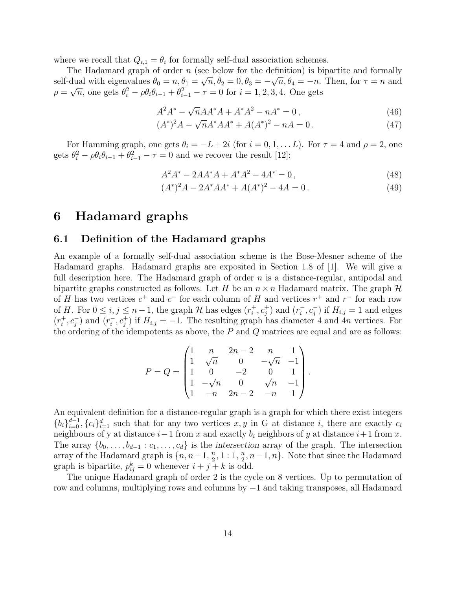where we recall that  $Q_{i,1} = \theta_i$  for formally self-dual association schemes.

The Hadamard graph of order n (see below for the definition) is bipartite and formally self-dual with eigenvalues  $\theta_0 = n, \theta_1 = \sqrt{n}, \theta_2 = 0, \theta_3 = -\sqrt{n}, \theta_4 = -n$ . Then, for  $\tau = n$  and  $\rho = \sqrt{n}$ , one gets  $\theta_i^2 - \rho \theta_i \theta_{i-1} + \theta_{i-1}^2 - \tau = 0$  for  $i = 1, 2, 3, 4$ . One gets

$$
A^{2}A^{*} - \sqrt{n}AA^{*}A + A^{*}A^{2} - nA^{*} = 0,
$$
\n(46)

$$
(A^*)^2 A - \sqrt{n}A^* A A^* + A(A^*)^2 - nA = 0.
$$
 (47)

For Hamming graph, one gets  $\theta_i = -L + 2i$  (for  $i = 0, 1, \dots L$ ). For  $\tau = 4$  and  $\rho = 2$ , one gets  $\theta_i^2 - \rho \theta_i \theta_{i-1} + \theta_{i-1}^2 - \tau = 0$  and we recover the result [12]:

$$
A^2A^* - 2AA^*A + A^*A^2 - 4A^* = 0,
$$
\n(48)

$$
(A^*)^2 A - 2A^* A A^* + A(A^*)^2 - 4A = 0.
$$
 (49)

## 6 Hadamard graphs

### 6.1 Definition of the Hadamard graphs

An example of a formally self-dual association scheme is the Bose-Mesner scheme of the Hadamard graphs. Hadamard graphs are exposited in Section 1.8 of [1]. We will give a full description here. The Hadamard graph of order  $n$  is a distance-regular, antipodal and bipartite graphs constructed as follows. Let H be an  $n \times n$  Hadamard matrix. The graph H of H has two vertices  $c^+$  and  $c^-$  for each column of H and vertices  $r^+$  and  $r^-$  for each row of H. For  $0 \leq i, j \leq n-1$ , the graph H has edges  $(r_i^+$  $(i^+, c^+_j)$  and  $(r^-_i)$  $\overline{i}_i, c_j^-$  if  $H_{i,j} = 1$  and edges  $(r_i^+$  $_i^+, c_j^-$  ) and  $(r_i^ \bar{i}, c_j^+$  if  $H_{i,j} = -1$ . The resulting graph has diameter 4 and 4n vertices. For the ordering of the idempotents as above, the  $P$  and  $Q$  matrices are equal and are as follows:

$$
P = Q = \begin{pmatrix} 1 & n & 2n-2 & n & 1 \\ 1 & \sqrt{n} & 0 & -\sqrt{n} & -1 \\ 1 & 0 & -2 & 0 & 1 \\ 1 & -\sqrt{n} & 0 & \sqrt{n} & -1 \\ 1 & -n & 2n-2 & -n & 1 \end{pmatrix}.
$$

An equivalent definition for a distance-regular graph is a graph for which there exist integers  ${b_i}_{i=0}^{d-1}, {c_i}_{i=1}^d$  such that for any two vertices  $x, y$  in G at distance i, there are exactly  $c_i$ neighbours of y at distance  $i-1$  from x and exactly  $b_i$  neighbors of y at distance  $i+1$  from x. The array  $\{b_0, \ldots, b_{d-1} : c_1, \ldots, c_d\}$  is the intersection array of the graph. The intersection array of the Hadamard graph is  $\{n, n-1, \frac{n}{2}\}$  $\frac{n}{2}, 1: 1, \frac{n}{2}$  $\frac{n}{2}, n-1, n$ . Note that since the Hadamard graph is bipartite,  $p_{ij}^k = 0$  whenever  $i + j + k$  is odd.

The unique Hadamard graph of order 2 is the cycle on 8 vertices. Up to permutation of row and columns, multiplying rows and columns by −1 and taking transposes, all Hadamard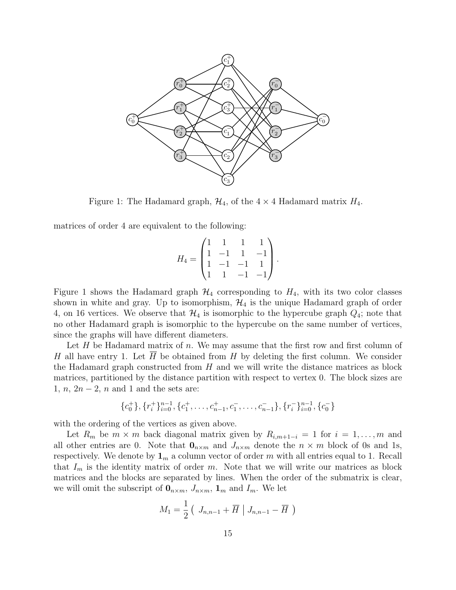

Figure 1: The Hadamard graph,  $\mathcal{H}_4$ , of the  $4 \times 4$  Hadamard matrix  $H_4$ .

matrices of order 4 are equivalent to the following:

$$
H_4 = \begin{pmatrix} 1 & 1 & 1 & 1 \\ 1 & -1 & 1 & -1 \\ 1 & -1 & -1 & 1 \\ 1 & 1 & -1 & -1 \end{pmatrix}.
$$

Figure 1 shows the Hadamard graph  $H_4$  corresponding to  $H_4$ , with its two color classes shown in white and gray. Up to isomorphism,  $\mathcal{H}_4$  is the unique Hadamard graph of order 4, on 16 vertices. We observe that  $\mathcal{H}_4$  is isomorphic to the hypercube graph  $Q_4$ ; note that no other Hadamard graph is isomorphic to the hypercube on the same number of vertices, since the graphs will have different diameters.

Let  $H$  be Hadamard matrix of n. We may assume that the first row and first column of H all have entry 1. Let  $\overline{H}$  be obtained from H by deleting the first column. We consider the Hadamard graph constructed from  $H$  and we will write the distance matrices as block matrices, partitioned by the distance partition with respect to vertex 0. The block sizes are 1,  $n, 2n-2, n$  and 1 and the sets are:

$$
\{c_0^+\}, \{r_i^+\}_{i=0}^{n-1}, \{c_1^+, \ldots, c_{n-1}^+, c_1^-, \ldots, c_{n-1}^-\}, \{r_i^-\}_{i=0}^{n-1}, \{c_0^-\}
$$

with the ordering of the vertices as given above.

Let  $R_m$  be  $m \times m$  back diagonal matrix given by  $R_{i,m+1-i} = 1$  for  $i = 1, \ldots, m$  and all other entries are 0. Note that  $\mathbf{0}_{n \times m}$  and  $J_{n \times m}$  denote the  $n \times m$  block of 0s and 1s, respectively. We denote by  $\mathbf{1}_m$  a column vector of order m with all entries equal to 1. Recall that  $I_m$  is the identity matrix of order m. Note that we will write our matrices as block matrices and the blocks are separated by lines. When the order of the submatrix is clear, we will omit the subscript of  $\mathbf{0}_{n \times m}$ ,  $J_{n \times m}$ ,  $\mathbf{1}_m$  and  $I_m$ . We let

$$
M_1 = \frac{1}{2} \left( J_{n,n-1} + \overline{H} \mid J_{n,n-1} - \overline{H} \right)
$$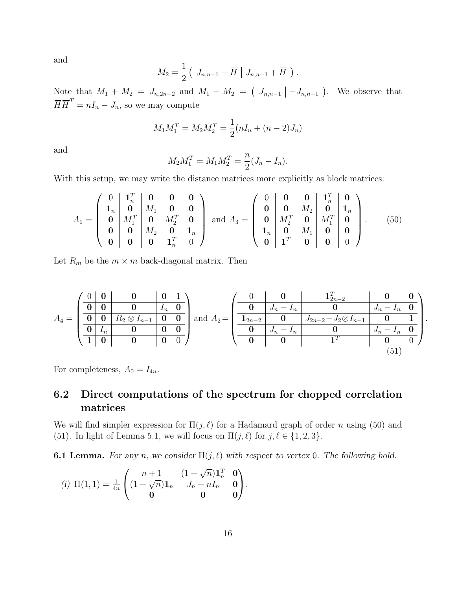and

$$
M_2 = \frac{1}{2} \left( J_{n,n-1} - \overline{H} \mid J_{n,n-1} + \overline{H} \right).
$$

Note that  $M_1 + M_2 = J_{n,2n-2}$  and  $M_1 - M_2 = (J_{n,n-1} - J_{n,n-1})$ . We observe that  $\overline{H} \overline{H}^T = nI_n - J_n$ , so we may compute

$$
M_1 M_1^T = M_2 M_2^T = \frac{1}{2} (nI_n + (n-2)J_n)
$$

and

$$
M_2 M_1^T = M_1 M_2^T = \frac{n}{2} (J_n - I_n).
$$

With this setup, we may write the distance matrices more explicitly as block matrices:

$$
A_1 = \begin{pmatrix} 0 & \mathbf{1}_n^T & \mathbf{0} & \mathbf{0} & \mathbf{0} \\ \hline \mathbf{1}_n & \mathbf{0} & M_1 & \mathbf{0} & \mathbf{0} \\ \hline \mathbf{0} & M_1^T & \mathbf{0} & M_2^T & \mathbf{0} \\ \hline \mathbf{0} & \mathbf{0} & M_2 & \mathbf{0} & \mathbf{1}_n \\ \hline \mathbf{0} & \mathbf{0} & \mathbf{0} & \mathbf{1}_n^T & \mathbf{0} \end{pmatrix} \text{ and } A_3 = \begin{pmatrix} 0 & \mathbf{0} & \mathbf{0} & \mathbf{1}_n^T & \mathbf{0} \\ \hline \mathbf{0} & \mathbf{0} & M_2 & \mathbf{0} & \mathbf{1}_n \\ \hline \mathbf{0} & M_2^T & \mathbf{0} & M_1^T & \mathbf{0} \\ \hline \mathbf{1}_n & \mathbf{0} & M_1 & \mathbf{0} & \mathbf{0} \\ \hline \mathbf{0} & \mathbf{1}^T & \mathbf{0} & \mathbf{0} & \mathbf{0} \end{pmatrix} . \tag{50}
$$

Let  $R_m$  be the  $m \times m$  back-diagonal matrix. Then

$$
A_4 = \left(\begin{array}{c|c|c|c|c|c} 0 & 0 & 0 & 1 \ 0 & 0 & 0 & I_n & 0 \ \hline 0 & 0 & R_2 \otimes I_{n-1} & 0 & 0 \ \hline 1 & 0 & 0 & 0 & 0 \ \end{array}\right) \text{ and } A_2 = \left(\begin{array}{c|c|c|c|c|c} 0 & 0 & 0 & 1_{2n-2}^T & 0 & 0 \ \hline 0 & J_n - I_n & 0 & J_n - I_n & 0 \ \hline 1_{2n-2} & 0 & J_{2n-2} - J_2 \otimes I_{n-1} & 0 & 1 \ \hline 0 & 0 & 0 & 1^T & 0 & 0 \ \end{array}\right) \tag{51}
$$

.

For completeness,  $A_0 = I_{4n}$ .

# 6.2 Direct computations of the spectrum for chopped correlation matrices

We will find simpler expression for  $\Pi(j, \ell)$  for a Hadamard graph of order n using (50) and (51). In light of Lemma 5.1, we will focus on  $\Pi(j, \ell)$  for  $j, \ell \in \{1, 2, 3\}.$ 

**6.1 Lemma.** For any n, we consider  $\Pi(j, \ell)$  with respect to vertex 0. The following hold.

(i) 
$$
\Pi(1,1) = \frac{1}{4n} \begin{pmatrix} n+1 & (1+\sqrt{n})\mathbf{1}_n^T & \mathbf{0} \\ (1+\sqrt{n})\mathbf{1}_n & J_n + nI_n & \mathbf{0} \\ \mathbf{0} & \mathbf{0} & \mathbf{0} \end{pmatrix}
$$
.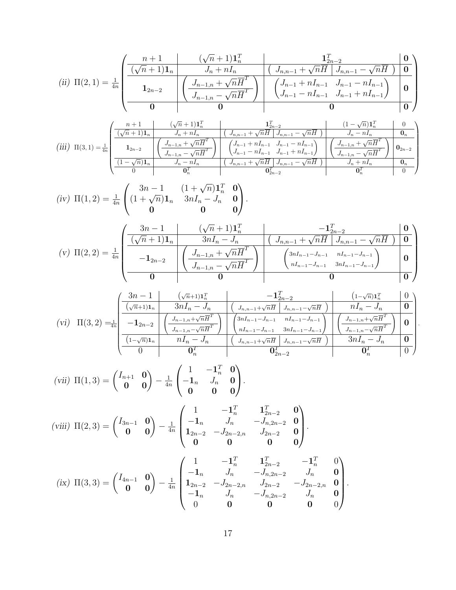(ii) 
$$
\Pi(2,1) = \frac{1}{4n} \begin{pmatrix} \frac{n+1}{(\sqrt{n}+1)\mathbf{1}_n} & \mathbf{1}_{2n-2}^T & \mathbf{0} \\ \frac{(\sqrt{n}+1)\mathbf{1}_n}{\mathbf{1}_{2n-2}} & \mathbf{1}_{2n-1} & \mathbf{1}_{2n}^T \end{pmatrix} \begin{pmatrix} J_{n,n-1} + \sqrt{n} \overline{H} & J_{n,n-1} - \sqrt{n} \overline{H} & \mathbf{0} \\ \frac{J_{n-1,n} + \sqrt{n} \overline{H}^T}{J_{n-1,n} - \sqrt{n} \overline{H}^T} & \mathbf{1}_{2n-1}^T & J_{n-1} - nI_{n-1} \\ \frac{J_{n-1,n} - \sqrt{n} \overline{H}^T}{J_{n-1,n} - \sqrt{n} \overline{H}^T} & J_{n-1} + nI_{n-1} \end{pmatrix} \begin{pmatrix} 0 & 0 \\ 0 & 0 \end{pmatrix}
$$

$$
\text{(iii)} \ \ \Pi(3,1)=\tfrac{1}{4n}\begin{pmatrix} \frac{n+1}{(\sqrt{n}+1)\mathbf{1}_n} & \mathbf{1}_{2n-2}^T & (1-\sqrt{n})\mathbf{1}_n^T & 0\\ \frac{1}{(\sqrt{n}+1)\mathbf{1}_n} & J_n+nI_n & (J_{n,n-1}+\sqrt{n}\overline{H} & J_{n,n-1}-\sqrt{n}\overline{H}) & J_n-nI_n & \mathbf{0}_n\\ \mathbf{1}_{2n-2} & \left(\frac{J_{n-1,n}+\sqrt{n}\overline{H}^T}{J_{n-1,n}-\sqrt{n}\overline{H}^T}\right) & \left(\begin{matrix}J_{n-1}+nI_{n-1} & J_{n-1}-nI_{n-1}\\ J_{n-1}-nI_{n-1} & J_{n-1}+nI_{n-1}\end{matrix}\right) & \left(\begin{matrix}J_{n-1,n}+\sqrt{n}\overline{H}^T\\ J_{n-1,n}-\sqrt{n}\overline{H}^T\end{matrix}\right) & \mathbf{0}_{2n-2}\\ \frac{1}{(\sqrt{n}+1)^2} & \mathbf{0}_{2n-1}^T & \mathbf{0}_{2n-2}^T & \mathbf{0}_{2n-2}^T\\ \frac{1}{(\sqrt{n}+1)^2} & \mathbf{0}_{2n-1}^T & \mathbf{0}_{2n-2}^T & \mathbf{0}_{2n-2}^T\\ \frac{1}{(\sqrt{n}+1)^2} & \mathbf{0}_{2n-2}^T & \mathbf{0}_{2n-2}^T & \mathbf{0}_{2n-2}^T\\ \end{pmatrix}
$$

(iv) 
$$
\Pi(1,2) = \frac{1}{4n} \begin{pmatrix} 3n-1 & (1+\sqrt{n})\mathbf{1}_n^T & \mathbf{0} \\ (1+\sqrt{n})\mathbf{1}_n & 3nI_n - J_n & \mathbf{0} \\ \mathbf{0} & \mathbf{0} & \mathbf{0} \end{pmatrix}
$$
.

$$
(v) \ \Pi(2,2) = \frac{1}{4n} \begin{pmatrix} \frac{3n-1}{(\sqrt{n}+1)\mathbf{1}_n} & \frac{-\mathbf{1}_{2n-2}^T}{3nI_n - J_n} & \frac{-\mathbf{1}_{2n-2}^T}{J_{n,n-1} + \sqrt{n}\overline{H} \mid J_{n,n-1} - \sqrt{n}\overline{H} \end{pmatrix} \mathbf{0}}{\mathbf{1}_{2n-2}} \\ \frac{-\mathbf{1}_{2n-2}}{0} \begin{pmatrix} \frac{J_{n-1,n} + \sqrt{n}\overline{H}^T}{J_{n-1,n} - \sqrt{n}\overline{H}^T} \\ \frac{-\mathbf{1}_{2n-2}}{0} & \frac{3nI_{n-1} - J_{n-1} - nI_{n-1} - J_{n-1}}{0} \end{pmatrix} \mathbf{0}}{0}
$$

$$
(vi) \Pi(3,2) =\frac{1}{4n} \begin{pmatrix} \frac{3n-1}{(\sqrt{n}+1)1_n} & \frac{-1_{2n-2}^T}{(1-\sqrt{n})1_n^T} & \frac{1-\sqrt{n}}{2n} \\ \frac{-1}{2n-2} & \frac{1}{2n-1} & \frac{1}{2n-1} & \frac{1-\sqrt{n}}{2n} \\ \frac{-1}{2n-2} & \frac{1}{2n-1} & \frac{1}{2n-1} & \frac{1}{2n-1} \\ \frac{-1}{2n-2} & \frac{1}{2n-1} & \frac{1}{2n-1} \\ \frac{-1}{2n-1} & \frac{1}{2n-1} & \frac{1}{2n-1} \\ \frac{1}{2n-1} & \frac{1}{2n-1} & \frac{1}{2n-1} \\ \frac{1}{2n-1} & \frac{1}{2n-1} & \frac{1}{2n-1} \\ \frac{1}{2n-1} & \frac{1}{2n-1} & \frac{1}{2n-1} \\ \frac{1}{2n-1} & \frac{1}{2n-1} & \frac{1}{2n-1} \\ \frac{1}{2n-1} & \frac{1}{2n-1} & \frac{1}{2n-1} \\ \frac{1}{2n-1} & \frac{1}{2n-1} & \frac{1}{2n-1} \\ \frac{1}{2n-1} & \frac{1}{2n-1} & \frac{1}{2n-1} \\ \frac{1}{2n-1} & \frac{1}{2n-1} & \frac{1}{2n-1} \\ \frac{1}{2n-1} & \frac{1}{2n-1} & \frac{1}{2n-1} \\ \frac{1}{2n-1} & \frac{1}{2n-1} & \frac{1}{2n-1} \\ \frac{1}{2n-1} & \frac{1}{2n-1} & \frac{1}{2n-1} \\ \frac{1}{2n-1} & \frac{1}{2n-1} & \frac{1}{2n-1} \\ \frac{1}{2n-1} & \frac{1}{2n-1} & \frac{1}{2n-1} \\ \frac{1}{2n-1} & \frac{1}{2n-1} & \frac{1}{2n-1} \\ \frac{1}{2n-1} & \frac{1}{2n-1} & \frac{1}{2n-1} \\ \frac{1}{2n-1} & \frac{1}{2n-1} & \frac{1}{
$$

(vii) 
$$
\Pi(1,3) = \begin{pmatrix} I_{n+1} & \mathbf{0} \\ \mathbf{0} & \mathbf{0} \end{pmatrix} - \frac{1}{4n} \begin{pmatrix} 1 & -\mathbf{1}_n^T & \mathbf{0} \\ -\mathbf{1}_n & J_n & \mathbf{0} \\ \mathbf{0} & \mathbf{0} & \mathbf{0} \end{pmatrix}.
$$

(viii) 
$$
\Pi(2,3) = \begin{pmatrix} I_{3n-1} & \mathbf{0} \\ \mathbf{0} & \mathbf{0} \end{pmatrix} - \frac{1}{4n} \begin{pmatrix} 1 & -\mathbf{1}_n^T & \mathbf{1}_{2n-2}^T & \mathbf{0} \\ -\mathbf{1}_n & J_n & -J_{n,2n-2} & \mathbf{0} \\ \mathbf{1}_{2n-2} & -J_{2n-2,n} & J_{2n-2} & \mathbf{0} \\ \mathbf{0} & \mathbf{0} & \mathbf{0} & \mathbf{0} \end{pmatrix}.
$$

$$
\text{(ix) } \Pi(3,3) = \begin{pmatrix} I_{4n-1} & \mathbf{0} \\ \mathbf{0} & \mathbf{0} \end{pmatrix} - \frac{1}{4n} \begin{pmatrix} 1 & -\mathbf{1}_n^T & \mathbf{1}_{2n-2}^T & -\mathbf{1}_n^T & 0 \\ -\mathbf{1}_n & J_n & -J_{n,2n-2} & J_n & \mathbf{0} \\ \mathbf{1}_{2n-2} & -J_{2n-2,n} & J_{2n-2} & -J_{2n-2,n} & \mathbf{0} \\ -\mathbf{1}_n & J_n & -J_{n,2n-2} & J_n & \mathbf{0} \\ 0 & \mathbf{0} & \mathbf{0} & \mathbf{0} & 0 \end{pmatrix}.
$$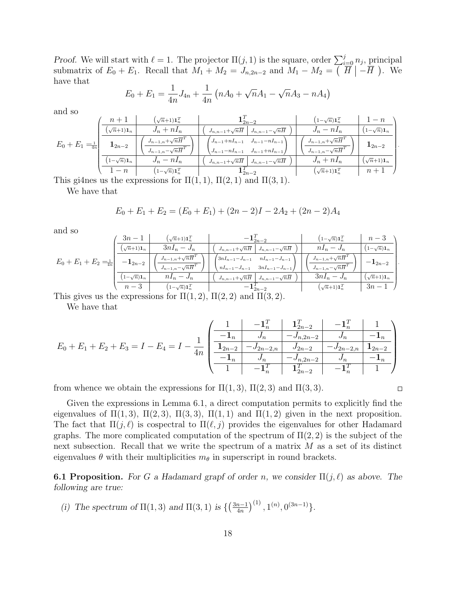Proof. We will start with  $\ell = 1$ . The projector  $\Pi(j, 1)$  is the square, order  $\sum_{i=0}^{j} n_j$ , principal submatrix of  $E_0 + E_1$ . Recall that  $M_1 + M_2 = J_{n,2n-2}$  and  $M_1 - M_2 = (\overline{H} \mid -\overline{H})$ . We have that

$$
E_0 + E_1 = \frac{1}{4n}J_{4n} + \frac{1}{4n}(nA_0 + \sqrt{n}A_1 - \sqrt{n}A_3 - nA_4)
$$

and so

| $J_n + nI_n$<br>$J_n-nI_n$<br>$1-\sqrt{n})\mathbf{1}_n$<br>$\sqrt{n+1}$ <b>1</b> <sub>n</sub><br>$J_{n,n-1}+\sqrt{n}\overline{H}$<br>$J_{n,n-1}-\sqrt{n}\overline{H}$<br>$J_{n-1,n} + \sqrt{n} \overline{H}^T$<br>$J_{n-1,n}+\sqrt{n}\overline{H}^T$<br>$J_{n-1}+nI_{n-1}$<br>$J_{n-1}-nI_{n-1}$ | $- n$ |
|--------------------------------------------------------------------------------------------------------------------------------------------------------------------------------------------------------------------------------------------------------------------------------------------------|-------|
|                                                                                                                                                                                                                                                                                                  |       |
| $E_0 + E_1 = \frac{1}{4n}$<br>$\mathbf{1}_{2n-2}$<br>$\mathbf{1}_{2n-2}$<br>$J_{n-1,n}-\sqrt{n}\overline{H}^T$<br>$J_{n-1,n}-\sqrt{n}\overline{H}^T$<br>$J_{n-1}-nI_{n-1}$<br>$J_{n-1}+nI_{n-1}$                                                                                                 |       |
| $J_n + nI_n$<br>$J_n-nI_n$<br>$1-\sqrt{n}\mathbf{1}_n$<br>$(\sqrt{n}+1)\mathbf{1}_n$<br>$J_{n,n-1}+\sqrt{n}\overline{H}$<br>$J_{n,n-1}-\sqrt{n}\overline{H}$                                                                                                                                     |       |
| $(\sqrt{n}+1)\mathbf{1}_n^T$<br>$^{\prime}$ 1- $\sqrt{n})$ 1 $^T_n$<br>$1-n$<br>$\mathbf{1}_{2n-2}^{\prime}$<br>$n+1$                                                                                                                                                                            |       |

This gi4nes us the expressions for  $\Pi(1,1)$ ,  $\Pi(2,1)$  and  $\Pi(3,1)$ .

We have that

$$
E_0 + E_1 + E_2 = (E_0 + E_1) + (2n - 2)I - 2A_2 + (2n - 2)A_4
$$

and so

| $\sim$ $\sim$ $\sim$                                                       |                                                 |                                         |                                                                      |                                         |                            |  |  |
|----------------------------------------------------------------------------|-------------------------------------------------|-----------------------------------------|----------------------------------------------------------------------|-----------------------------------------|----------------------------|--|--|
| $E_0 + E_1 + E_2 = \frac{1}{4n}$                                           | $3n-1$                                          | $\left(\sqrt{n+1}\right)\mathbf{1}_n^T$ | $- \mathbf{1}_{2n-2}^{\scriptscriptstyle I}$                         | $\left(1-\sqrt{n}\right)\mathbf{1}_n^T$ | $n-3$                      |  |  |
|                                                                            | $\left(\sqrt{n+1}\right)$ <b>1</b> <sub>n</sub> | $3nI_n-J_n$                             | $J_{n,n-1}+\sqrt{n}\overline{H}$<br>$J_{n,n-1}-\sqrt{n}\overline{H}$ | $nI_n-J_n$                              | $(1-\sqrt{n})\mathbf{1}_n$ |  |  |
|                                                                            | $-{\bf 1}_{2n-2}$                               | $J_{n-1,n}+\sqrt{n}\overline{H}^I$      | $3nI_{n-1}-J_{n-1}$<br>$nI_{n-1}-J_{n-1}$                            | $J_{n-1,n} + \sqrt{n} \overline{H}^1$   | $- {\bf 1}_{2n-2}$         |  |  |
|                                                                            |                                                 | $J_{n-1,n}-\sqrt{n}\overline{H}^T$      | $nI_{n-1}-J_{n-1}$ $3nI_{n-1}-J_{n-1}$                               | $J_{n-1,n} - \sqrt{n} \overline{H}^T$   |                            |  |  |
|                                                                            | $1-\sqrt{n}\mathbf{1}_n$                        | $nI_n-J_n$                              | $J_{n,n-1}+\sqrt{n}\overline{H}$<br>$J_{n,n-1}-\sqrt{n}\overline{H}$ | $3nI_n-J_n$                             | $(\sqrt{n+1})\mathbf{1}_n$ |  |  |
|                                                                            | $n-3$                                           | $\left(1-\sqrt{n}\right)\mathbf{1}_n^T$ |                                                                      | $\left(\sqrt{n+1}\right)\mathbf{1}_n^T$ | $3n-1$                     |  |  |
| This gives us the expressions for $\Pi(1,2)$ , $\Pi(2,2)$ and $\Pi(3,2)$ . |                                                 |                                         |                                                                      |                                         |                            |  |  |

We have that

$$
E_0 + E_1 + E_2 + E_3 = I - E_4 = I - \frac{1}{4n} \begin{pmatrix} \frac{1}{-1_n} & \frac{1}{n_n} & \frac{1}{n_n} & -\frac{1}{n_n} & \frac{1}{n_n} \\ \frac{1}{12n-2} & -\frac{1}{n_n} & -\frac{1}{n_n} & -\frac{1}{n_n} & -\frac{1}{n_n} \\ \frac{1}{12n-2} & -\frac{1}{2n-2n} & \frac{1}{n_n} & -\frac{1}{2n-2n} & \frac{1}{n_n} & -\frac{1}{n_n} \\ \frac{1}{12n-2} & -\frac{1}{n_n} & \frac{1}{12n-2} & -\frac{1}{n_n} & \frac{1}{1} \end{pmatrix}
$$

from whence we obtain the expressions for  $\Pi(1,3)$ ,  $\Pi(2,3)$  and  $\Pi(3,3)$ .

 $\Box$ 

.

Given the expressions in Lemma 6.1, a direct computation permits to explicitly find the eigenvalues of  $\Pi(1,3)$ ,  $\Pi(2,3)$ ,  $\Pi(3,3)$ ,  $\Pi(1,1)$  and  $\Pi(1,2)$  given in the next proposition. The fact that  $\Pi(j,\ell)$  is cospectral to  $\Pi(\ell, j)$  provides the eigenvalues for other Hadamard graphs. The more complicated computation of the spectrum of  $\Pi(2, 2)$  is the subject of the next subsection. Recall that we write the spectrum of a matrix M as a set of its distinct eigenvalues  $\theta$  with their multiplicities  $m_{\theta}$  in superscript in round brackets.

**6.1 Proposition.** For G a Hadamard grapf of order n, we consider  $\Pi(j, \ell)$  as above. The following are true:

(i) The spectrum of  $\Pi(1,3)$  and  $\Pi(3,1)$  is  $\{\left(\frac{3n-1}{4n}\right)$  $\left(\frac{n-1}{4n}\right)^{(1)}, 1^{(n)}, 0^{(3n-1)}\}.$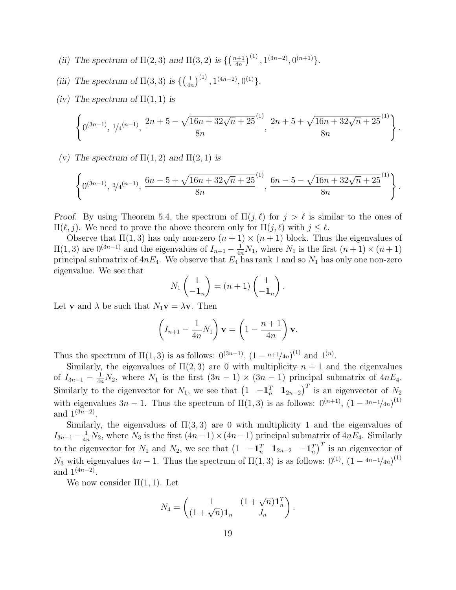- (ii) The spectrum of  $\Pi(2,3)$  and  $\Pi(3,2)$  is  $\left\{\left(\frac{n+1}{4n}\right)\right\}$  $\left(\frac{n+1}{4n}\right)^{(1)}, 1^{(3n-2)}, 0^{(n+1)}\}.$
- (iii) The spectrum of  $\Pi(3,3)$  is  $\{\left(\frac{1}{4r}\right)$  $\frac{1}{4n}$  ${1 \choose 1}, 1^{(4n-2)}, 0^{(1)}$ .
- (iv) The spectrum of  $\Pi(1,1)$  is

$$
\left\{ 0^{(3n-1)}, \frac{1}{4}^{(n-1)}, \frac{2n+5-\sqrt{16n+32\sqrt{n}+25}}{8n}, \frac{2n+5+\sqrt{16n+32\sqrt{n}+25}}{8n}^{(1)} \right\}.
$$

(v) The spectrum of  $\Pi(1,2)$  and  $\Pi(2,1)$  is

$$
\left\{ 0^{(3n-1)}, \frac{3}{4}^{(n-1)}, \frac{6n-5+\sqrt{16n+32\sqrt{n}+25}}{8n}, \frac{6n-5-\sqrt{16n+32\sqrt{n}+25}}{8n}^{(1)} \right\}.
$$

Proof. By using Theorem 5.4, the spectrum of  $\Pi(j, \ell)$  for  $j > \ell$  is similar to the ones of  $\Pi(\ell, j)$ . We need to prove the above theorem only for  $\Pi(j, \ell)$  with  $j \leq \ell$ .

Observe that  $\Pi(1,3)$  has only non-zero  $(n + 1) \times (n + 1)$  block. Thus the eigenvalues of  $\Pi(1,3)$  are  $0^{(3n-1)}$  and the eigenvalues of  $I_{n+1} - \frac{1}{4n}N_1$ , where  $N_1$  is the first  $(n+1) \times (n+1)$ principal submatrix of  $4nE_4$ . We observe that  $E_4$  has rank 1 and so  $N_1$  has only one non-zero eigenvalue. We see that

$$
N_1\begin{pmatrix}1\\-1_n\end{pmatrix}=(n+1)\begin{pmatrix}1\\-1_n\end{pmatrix}.
$$

Let **v** and  $\lambda$  be such that  $N_1$ **v** =  $\lambda$ **v**. Then

$$
\left(I_{n+1} - \frac{1}{4n}N_1\right)\mathbf{v} = \left(1 - \frac{n+1}{4n}\right)\mathbf{v}.
$$

Thus the spectrum of  $\Pi(1,3)$  is as follows:  $0^{(3n-1)}$ ,  $(1 - n+1/4n)^{(1)}$  and  $1^{(n)}$ .

Similarly, the eigenvalues of  $\Pi(2,3)$  are 0 with multiplicity  $n+1$  and the eigenvalues of  $I_{3n-1} - \frac{1}{4n}N_2$ , where  $N_1$  is the first  $(3n-1) \times (3n-1)$  principal submatrix of  $4nE_4$ . Similarly to the eigenvector for  $N_1$ , we see that  $\left(1 \quad -\mathbf{1}_n^T \quad \mathbf{1}_{2n-2}\right)^T$  is an eigenvector of  $N_2$ with eigenvalues  $3n-1$ . Thus the spectrum of  $\Pi(1,3)$  is as follows:  $0^{(n+1)}$ ,  $(1-3n-1/4n)^{(1)}$ and  $1^{(3n-2)}$ .

Similarly, the eigenvalues of  $\Pi(3,3)$  are 0 with multiplicity 1 and the eigenvalues of  $I_{3n-1} - \frac{1}{4n}N_2$ , where  $N_3$  is the first  $(4n-1) \times (4n-1)$  principal submatrix of  $4nE_4$ . Similarly to the eigenvector for  $N_1$  and  $N_2$ , we see that  $\begin{pmatrix} 1 & -\mathbf{1}_n^T & \mathbf{1}_{2n-2} & -\mathbf{1}_n^T \end{pmatrix}^T$  is an eigenvector of  $N_3$  with eigenvalues  $4n-1$ . Thus the spectrum of  $\Pi(1,3)$  is as follows:  $0^{(1)}$ ,  $(1-4n-1/4n)^{(1)}$ and  $1^{(4n-2)}$ .

We now consider  $\Pi(1,1)$ . Let

$$
N_4 = \begin{pmatrix} 1 & (1 + \sqrt{n})\mathbf{1}_n^T \\ (1 + \sqrt{n})\mathbf{1}_n & J_n \end{pmatrix}.
$$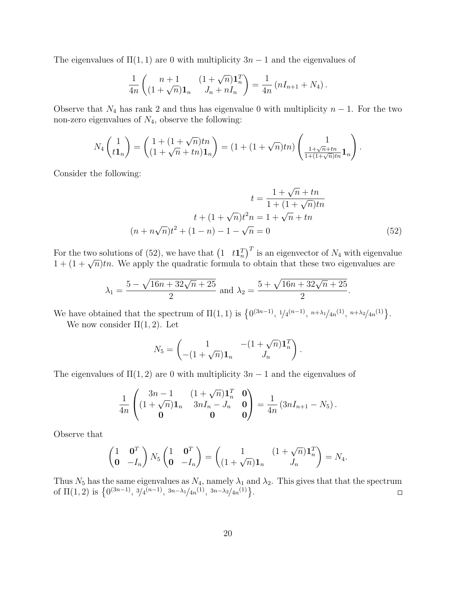The eigenvalues of  $\Pi(1,1)$  are 0 with multiplicity  $3n-1$  and the eigenvalues of

$$
\frac{1}{4n} \begin{pmatrix} n+1 & (1+\sqrt{n})\mathbf{1}_n^T \\ (1+\sqrt{n})\mathbf{1}_n & J_n + nI_n \end{pmatrix} = \frac{1}{4n} (nI_{n+1} + N_4).
$$

Observe that  $N_4$  has rank 2 and thus has eigenvalue 0 with multiplicity  $n-1$ . For the two non-zero eigenvalues of  $N_4$ , observe the following:

$$
N_4 \begin{pmatrix} 1 \\ t\mathbf{1}_n \end{pmatrix} = \begin{pmatrix} 1 + (1+\sqrt{n})tn \\ (1+\sqrt{n}+tn)\mathbf{1}_n \end{pmatrix} = (1 + (1+\sqrt{n})tn) \begin{pmatrix} 1 \\ \frac{1+\sqrt{n}+tn}{1+(1+\sqrt{n})tn}\mathbf{1}_n \end{pmatrix}
$$

Consider the following:

$$
t = \frac{1 + \sqrt{n} + tn}{1 + (1 + \sqrt{n})tn}
$$

$$
t + (1 + \sqrt{n})t^2 n = 1 + \sqrt{n} + tn
$$

$$
(n + n\sqrt{n})t^2 + (1 - n) - 1 - \sqrt{n} = 0
$$
(52)

.

For the two solutions of (52), we have that  $\left(1 \quad t\mathbf{1}_n^T\right)^T$  is an eigenvector of  $N_4$  with eigenvalue For the two solutions of  $(32)$ , we have that  $(1 - i\mathbf{I}_n)$  is an eigenvector of  $N_4$  with eigenvalues are  $1 + (1 + \sqrt{n})$ th. We apply the quadratic formula to obtain that these two eigenvalues are

$$
\lambda_1 = \frac{5 - \sqrt{16n + 32\sqrt{n} + 25}}{2}
$$
 and  $\lambda_2 = \frac{5 + \sqrt{16n + 32\sqrt{n} + 25}}{2}$ .

We have obtained that the spectrum of  $\Pi(1,1)$  is  $\{0^{(3n-1)}, 1/4^{(n-1)}, n+\lambda_1/4n^{(1)}, n+\lambda_2/4n^{(1)}\}$ .

We now consider  $\Pi(1,2)$ . Let

$$
N_5 = \begin{pmatrix} 1 & -(1+\sqrt{n})\mathbf{1}_n^T \\ -(1+\sqrt{n})\mathbf{1}_n & J_n \end{pmatrix}.
$$

The eigenvalues of  $\Pi(1,2)$  are 0 with multiplicity  $3n-1$  and the eigenvalues of

$$
\frac{1}{4n} \begin{pmatrix} 3n-1 & (1+\sqrt{n})\mathbf{1}_n^T & \mathbf{0} \\ (1+\sqrt{n})\mathbf{1}_n & 3nI_n-J_n & \mathbf{0} \\ \mathbf{0} & \mathbf{0} & \mathbf{0} \end{pmatrix} = \frac{1}{4n} (3nI_{n+1}-N_5).
$$

Observe that

$$
\begin{pmatrix} 1 & \mathbf{0}^T \\ \mathbf{0} & -I_n \end{pmatrix} N_5 \begin{pmatrix} 1 & \mathbf{0}^T \\ \mathbf{0} & -I_n \end{pmatrix} = \begin{pmatrix} 1 & (1+\sqrt{n})\mathbf{1}_n^T \\ (1+\sqrt{n})\mathbf{1}_n & J_n \end{pmatrix} = N_4.
$$

Thus  $N_5$  has the same eigenvalues as  $N_4$ , namely  $\lambda_1$  and  $\lambda_2$ . This gives that that the spectrum of  $\Pi(1,2)$  is  $\{0^{(3n-1)}, \frac{3}{4}^{(n-1)}, \frac{3n-\lambda_1}{4n^{\left(1\right)}}, \frac{3n-\lambda_2}{4n^{\left(1\right)}}\}.$  $\Box$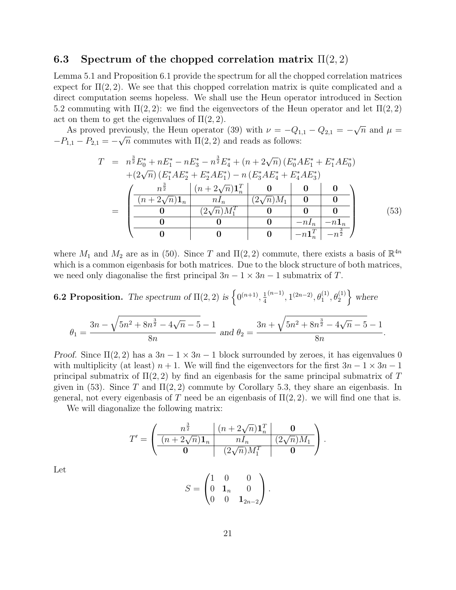## 6.3 Spectrum of the chopped correlation matrix  $\Pi(2,2)$

Lemma 5.1 and Proposition 6.1 provide the spectrum for all the chopped correlation matrices expect for  $\Pi(2, 2)$ . We see that this chopped correlation matrix is quite complicated and a direct computation seems hopeless. We shall use the Heun operator introduced in Section 5.2 commuting with  $\Pi(2, 2)$ : we find the eigenvectors of the Heun operator and let  $\Pi(2, 2)$ act on them to get the eigenvalues of  $\Pi(2, 2)$ . √

As proved previously, the Heun operator (39) with  $\nu = -Q_{1,1} - Q_{2,1} =$ eviously, the Heun operator (39) with  $\nu = -Q_{1,1} - Q_{2,1} = -\sqrt{n}$  and  $\mu =$  $-P_{1,1}-P_{2,1}=-\sqrt{n}$  commutes with  $\Pi(2,2)$  and reads as follows:

$$
T = n^{\frac{3}{2}}E_{0}^{*} + nE_{1}^{*} - nE_{3}^{*} - n^{\frac{3}{2}}E_{4}^{*} + (n + 2\sqrt{n})(E_{0}^{*}AE_{1}^{*} + E_{1}^{*}AE_{0}^{*})
$$
  
+ 
$$
(2\sqrt{n})(E_{1}^{*}AE_{2}^{*} + E_{2}^{*}AE_{1}^{*}) - n(E_{3}^{*}AE_{4}^{*} + E_{4}^{*}AE_{3}^{*})
$$
  
= 
$$
\begin{pmatrix} n^{\frac{3}{2}} & (n + 2\sqrt{n})\mathbf{1}_{n}^{T} & \mathbf{0} & \mathbf{0} & \mathbf{0} \\ \frac{(n + 2\sqrt{n})\mathbf{1}_{n} & nI_{n} & (2\sqrt{n})M_{1} & \mathbf{0} & \mathbf{0} \\ \hline \mathbf{0} & (2\sqrt{n})M_{1}^{T} & \mathbf{0} & \mathbf{0} & \mathbf{0} \\ \hline \mathbf{0} & \mathbf{0} & \mathbf{0} & -nI_{n}^{T} & -n^{\frac{3}{2}} \end{pmatrix}
$$
(53)

where  $M_1$  and  $M_2$  are as in (50). Since T and  $\Pi(2, 2)$  commute, there exists a basis of  $\mathbb{R}^{4n}$ which is a common eigenbasis for both matrices. Due to the block structure of both matrices, we need only diagonalise the first principal  $3n - 1 \times 3n - 1$  submatrix of T.

**6.2 Proposition.** The spectrum of 
$$
\Pi(2, 2)
$$
 is  $\left\{0^{(n+1)}, \frac{1}{4}^{(n-1)}, 1^{(2n-2)}, \theta_1^{(1)}, \theta_2^{(1)}\right\}$  where  

$$
\theta_1 = \frac{3n - \sqrt{5n^2 + 8n^{\frac{3}{2}} - 4\sqrt{n} - 5} - 1}{8n}
$$
and  $\theta_2 = \frac{3n + \sqrt{5n^2 + 8n^{\frac{3}{2}} - 4\sqrt{n} - 5} - 1}{8n}$ .

Proof. Since  $\Pi(2,2)$  has a  $3n-1 \times 3n-1$  block surrounded by zeroes, it has eigenvalues 0 with multiplicity (at least)  $n + 1$ . We will find the eigenvectors for the first  $3n - 1 \times 3n - 1$ principal submatrix of  $\Pi(2,2)$  by find an eigenbasis for the same principal submatrix of T given in (53). Since T and  $\Pi(2, 2)$  commute by Corollary 5.3, they share an eigenbasis. In general, not every eigenbasis of T need be an eigenbasis of  $\Pi(2, 2)$ , we will find one that is.

We will diagonalize the following matrix:

$$
T' = \begin{pmatrix} n^{\frac{3}{2}} & (n+2\sqrt{n})\mathbf{1}_n^T & \mathbf{0} \\ \frac{(n+2\sqrt{n})\mathbf{1}_n}{\mathbf{0}} & nI_n & (2\sqrt{n})M_1 \end{pmatrix}.
$$

 $\sqrt{ }$ 

Let

$$
S = \begin{pmatrix} 0 & \mathbf{1}_n & 0 \\ 0 & 0 & \mathbf{1}_{2n-2} \end{pmatrix}.
$$

1 0 0

 $\begin{matrix} 0 \end{matrix}$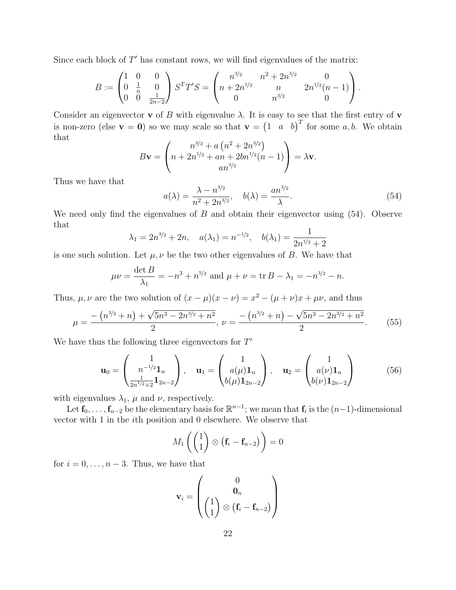Since each block of  $T'$  has constant rows, we will find eigenvalues of the matrix:

$$
B:=\begin{pmatrix} 1 & 0 & 0 \\ 0 & \frac{1}{n} & 0 \\ 0 & 0 & \frac{1}{2n-2} \end{pmatrix} S^T T'S=\begin{pmatrix} n^{3/2} & n^2+2n^{3/2} & 0 \\ n+2n^{1/2} & n & 2n^{1/2}(n-1) \\ 0 & n^{3/2} & 0 \end{pmatrix}.
$$

Consider an eigenvector **v** of B with eigenvalue  $\lambda$ . It is easy to see that the first entry of **v** is non-zero (else  $\mathbf{v} = \mathbf{0}$ ) so we may scale so that  $\mathbf{v} = \begin{pmatrix} 1 & a & b \end{pmatrix}^T$  for some  $a, b$ . We obtain that

$$
B\mathbf{v} = \begin{pmatrix} n^{3/2} + a (n^2 + 2n^{3/2}) \\ n + 2n^{1/2} + an + 2bn^{1/2}(n-1) \\ an^{3/2} \end{pmatrix} = \lambda \mathbf{v}.
$$

Thus we have that

$$
a(\lambda) = \frac{\lambda - n^{3/2}}{n^2 + 2n^{3/2}}, \quad b(\lambda) = \frac{an^{3/2}}{\lambda}.
$$
 (54)

We need only find the eigenvalues of  $B$  and obtain their eigenvector using  $(54)$ . Observe that

$$
\lambda_1 = 2n^{3/2} + 2n
$$
,  $a(\lambda_1) = n^{-1/2}$ ,  $b(\lambda_1) = \frac{1}{2n^{1/2} + 2}$ 

is one such solution. Let  $\mu, \nu$  be the two other eigenvalues of B. We have that

$$
\mu\nu = \frac{\det B}{\lambda_1} = -n^3 + n^{5/2} \text{ and } \mu + \nu = \text{tr } B - \lambda_1 = -n^{3/2} - n.
$$

Thus,  $\mu, \nu$  are the two solution of  $(x - \mu)(x - \nu) = x^2 - (\mu + \nu)x + \mu\nu$ , and thus

$$
\mu = \frac{-\left(n^{3/2} + n\right) + \sqrt{5n^3 - 2n^{3/2} + n^2}}{2}, \ \nu = \frac{-\left(n^{3/2} + n\right) - \sqrt{5n^3 - 2n^{3/2} + n^2}}{2}.\tag{55}
$$

We have thus the following three eigenvectors for  $T'$ 

$$
\mathbf{u}_0 = \begin{pmatrix} 1 \\ n^{-1/2} \mathbf{1}_n \\ \frac{1}{2n^{1/2} + 2} \mathbf{1}_{2n-2} \end{pmatrix}, \quad \mathbf{u}_1 = \begin{pmatrix} 1 \\ a(\mu) \mathbf{1}_n \\ b(\mu) \mathbf{1}_{2n-2} \end{pmatrix}, \quad \mathbf{u}_2 = \begin{pmatrix} 1 \\ a(\nu) \mathbf{1}_n \\ b(\nu) \mathbf{1}_{2n-2} \end{pmatrix}
$$
(56)

with eigenvalues  $\lambda_1$ ,  $\mu$  and  $\nu$ , respectively.

Let  $f_0, \ldots, f_{n-2}$  be the elementary basis for  $\mathbb{R}^{n-1}$ ; we mean that  $f_i$  is the  $(n-1)$ -dimensional vector with 1 in the ith position and 0 elsewhere. We observe that

$$
M_1\left(\begin{pmatrix}1\\1\end{pmatrix}\otimes(\mathbf{f}_i-\mathbf{f}_{n-2})\right)=0
$$

for  $i = 0, \ldots, n-3$ . Thus, we have that

$$
\mathbf{v}_i = \begin{pmatrix} 0 \\ \mathbf{0}_n \\ \begin{pmatrix} 1 \\ 1 \end{pmatrix} \otimes (\mathbf{f}_i - \mathbf{f}_{n-2}) \end{pmatrix}
$$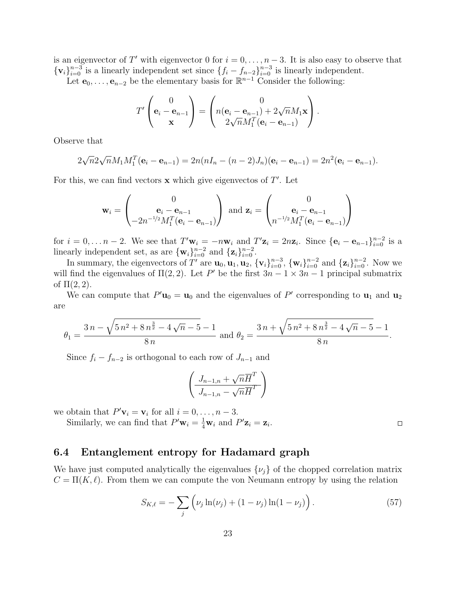is an eigenvector of T' with eigenvector 0 for  $i = 0, \ldots, n-3$ . It is also easy to observe that  $\{v_i\}_{i=0}^{n-3}$  is a linearly independent set since  $\{f_i - f_{n-2}\}_{i=0}^{n-3}$  is linearly independent.

Let  $e_0, \ldots, e_{n-2}$  be the elementary basis for  $\mathbb{R}^{n-1}$  Consider the following:

$$
T'\begin{pmatrix} 0 \\ \mathbf{e}_i - \mathbf{e}_{n-1} \\ \mathbf{x} \end{pmatrix} = \begin{pmatrix} 0 \\ n(\mathbf{e}_i - \mathbf{e}_{n-1}) + 2\sqrt{n}M_1\mathbf{x} \\ 2\sqrt{n}M_1^T(\mathbf{e}_i - \mathbf{e}_{n-1}) \end{pmatrix}.
$$

Observe that

$$
2\sqrt{n}2\sqrt{n}M_1M_1^T(\mathbf{e}_i-\mathbf{e}_{n-1})=2n(nI_n-(n-2)J_n)(\mathbf{e}_i-\mathbf{e}_{n-1})=2n^2(\mathbf{e}_i-\mathbf{e}_{n-1}).
$$

For this, we can find vectors  $x$  which give eigenvectos of  $T'$ . Let

$$
\mathbf{w}_i = \begin{pmatrix} 0 \\ \mathbf{e}_i - \mathbf{e}_{n-1} \\ -2n^{-1/2} M_1^T (\mathbf{e}_i - \mathbf{e}_{n-1}) \end{pmatrix} \text{ and } \mathbf{z}_i = \begin{pmatrix} 0 \\ \mathbf{e}_i - \mathbf{e}_{n-1} \\ n^{-1/2} M_1^T (\mathbf{e}_i - \mathbf{e}_{n-1}) \end{pmatrix}
$$

for  $i = 0, \ldots n-2$ . We see that  $T' \mathbf{w}_i = -n \mathbf{w}_i$  and  $T' \mathbf{z}_i = 2n \mathbf{z}_i$ . Since  $\{\mathbf{e}_i - \mathbf{e}_{n-1}\}_{i=0}^{n-2}$  is a linearly independent set, as are  $\{\mathbf{w}_i\}_{i=0}^{n-2}$  and  $\{\mathbf{z}_i\}_{i=0}^{n-2}$ .

In summary, the eigenvectors of T' are  $\mathbf{u}_0, \mathbf{u}_1, \mathbf{u}_2, \{\mathbf{v}_i\}_{i=0}^{n-3}, \{\mathbf{w}_i\}_{i=0}^{n-2}$  and  $\{\mathbf{z}_i\}_{i=0}^{n-2}$ . Now we will find the eigenvalues of  $\Pi(2,2)$ . Let P' be the first  $3n-1 \times 3n-1$  principal submatrix of  $\Pi(2,2)$ .

We can compute that  $P' \mathbf{u}_0 = \mathbf{u}_0$  and the eigenvalues of P' corresponding to  $\mathbf{u}_1$  and  $\mathbf{u}_2$ are

$$
\theta_1 = \frac{3n - \sqrt{5n^2 + 8n^{\frac{3}{2}} - 4\sqrt{n-5} - 1}}{8n} \text{ and } \theta_2 = \frac{3n + \sqrt{5n^2 + 8n^{\frac{3}{2}} - 4\sqrt{n-5} - 1}}{8n}.
$$

Since  $f_i - f_{n-2}$  is orthogonal to each row of  $J_{n-1}$  and

$$
\left(\frac{J_{n-1,n}+\sqrt{n}\overline{H}^T}{J_{n-1,n}-\sqrt{n}\overline{H}^T}\right)
$$

we obtain that  $P'$ **v**<sub>i</sub> = **v**<sub>i</sub> for all  $i = 0, ..., n - 3$ .

Similarly, we can find that  $P' \mathbf{w}_i = \frac{1}{4} \mathbf{w}_i$  and  $P' \mathbf{z}_i = \mathbf{z}_i$ .

### 6.4 Entanglement entropy for Hadamard graph

We have just computed analytically the eigenvalues  $\{\nu_j\}$  of the chopped correlation matrix  $C = \Pi(K, \ell)$ . From them we can compute the von Neumann entropy by using the relation

$$
S_{K,\ell} = -\sum_{j} \left( \nu_j \ln(\nu_j) + (1 - \nu_j) \ln(1 - \nu_j) \right). \tag{57}
$$

 $\Box$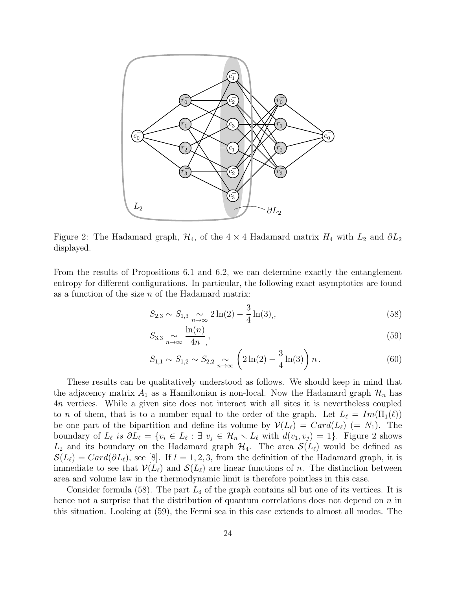

Figure 2: The Hadamard graph,  $\mathcal{H}_4$ , of the 4 × 4 Hadamard matrix  $H_4$  with  $L_2$  and  $\partial L_2$ displayed.

From the results of Propositions 6.1 and 6.2, we can determine exactly the entanglement entropy for different configurations. In particular, the following exact asymptotics are found as a function of the size  $n$  of the Hadamard matrix:

$$
S_{2,3} \sim S_{1,3} \sum_{n \to \infty} 2\ln(2) - \frac{3}{4}\ln(3), \tag{58}
$$

$$
S_{3,3} \underset{n \to \infty}{\sim} \frac{\ln(n)}{4n},\tag{59}
$$

$$
S_{1,1} \sim S_{1,2} \sim S_{2,2} \sim \left(2\ln(2) - \frac{3}{4}\ln(3)\right)n.
$$
 (60)

These results can be qualitatively understood as follows. We should keep in mind that the adjacency matrix  $A_1$  as a Hamiltonian is non-local. Now the Hadamard graph  $\mathcal{H}_n$  has 4n vertices. While a given site does not interact with all sites it is nevertheless coupled to n of them, that is to a number equal to the order of the graph. Let  $L_\ell = Im(\Pi_1(\ell))$ be one part of the bipartition and define its volume by  $\mathcal{V}(L_\ell) = Card(L_\ell) (= N_1)$ . The boundary of  $L_\ell$  is  $\partial L_\ell = \{v_i \in L_\ell : \exists v_j \in \mathcal{H}_n \setminus L_\ell \text{ with } d(v_1, v_j) = 1\}.$  Figure 2 shows  $L_2$  and its boundary on the Hadamard graph  $\mathcal{H}_4$ . The area  $\mathcal{S}(L_\ell)$  would be defined as  $\mathcal{S}(L_{\ell}) = Card(\partial L_{\ell}),$  see [8]. If  $l = 1, 2, 3$ , from the definition of the Hadamard graph, it is immediate to see that  $\mathcal{V}(L_{\ell})$  and  $\mathcal{S}(L_{\ell})$  are linear functions of n. The distinction between area and volume law in the thermodynamic limit is therefore pointless in this case.

Consider formula (58). The part  $L_3$  of the graph contains all but one of its vertices. It is hence not a surprise that the distribution of quantum correlations does not depend on  $n$  in this situation. Looking at (59), the Fermi sea in this case extends to almost all modes. The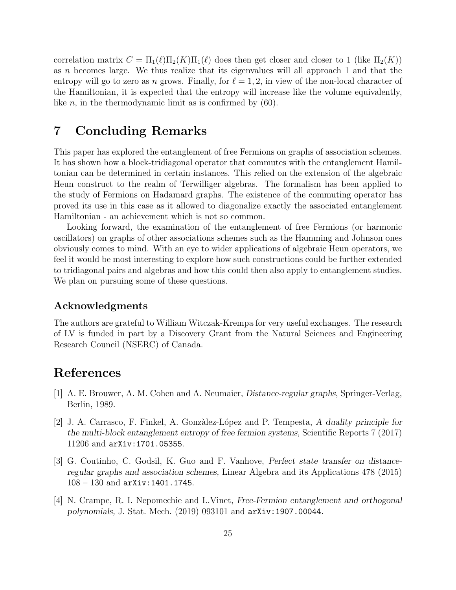correlation matrix  $C = \Pi_1(\ell) \Pi_2(K) \Pi_1(\ell)$  does then get closer and closer to 1 (like  $\Pi_2(K)$ ) as n becomes large. We thus realize that its eigenvalues will all approach 1 and that the entropy will go to zero as n grows. Finally, for  $\ell = 1, 2$ , in view of the non-local character of the Hamiltonian, it is expected that the entropy will increase like the volume equivalently, like *n*, in the thermodynamic limit as is confirmed by  $(60)$ .

# 7 Concluding Remarks

This paper has explored the entanglement of free Fermions on graphs of association schemes. It has shown how a block-tridiagonal operator that commutes with the entanglement Hamiltonian can be determined in certain instances. This relied on the extension of the algebraic Heun construct to the realm of Terwilliger algebras. The formalism has been applied to the study of Fermions on Hadamard graphs. The existence of the commuting operator has proved its use in this case as it allowed to diagonalize exactly the associated entanglement Hamiltonian - an achievement which is not so common.

Looking forward, the examination of the entanglement of free Fermions (or harmonic oscillators) on graphs of other associations schemes such as the Hamming and Johnson ones obviously comes to mind. With an eye to wider applications of algebraic Heun operators, we feel it would be most interesting to explore how such constructions could be further extended to tridiagonal pairs and algebras and how this could then also apply to entanglement studies. We plan on pursuing some of these questions.

## Acknowledgments

The authors are grateful to William Witczak-Krempa for very useful exchanges. The research of LV is funded in part by a Discovery Grant from the Natural Sciences and Engineering Research Council (NSERC) of Canada.

# References

- [1] A. E. Brouwer, A. M. Cohen and A. Neumaier, Distance-regular graphs, Springer-Verlag, Berlin, 1989.
- [2] J. A. Carrasco, F. Finkel, A. Gonz`alez-L´opez and P. Tempesta, A duality principle for the multi-block entanglement entropy of free fermion systems, Scientific Reports 7 (2017) 11206 and arXiv:1701.05355.
- [3] G. Coutinho, C. Godsil, K. Guo and F. Vanhove, Perfect state transfer on distanceregular graphs and association schemes, Linear Algebra and its Applications 478 (2015) 108 – 130 and arXiv:1401.1745.
- [4] N. Crampe, R. I. Nepomechie and L.Vinet, Free-Fermion entanglement and orthogonal polynomials, J. Stat. Mech. (2019) 093101 and arXiv:1907.00044.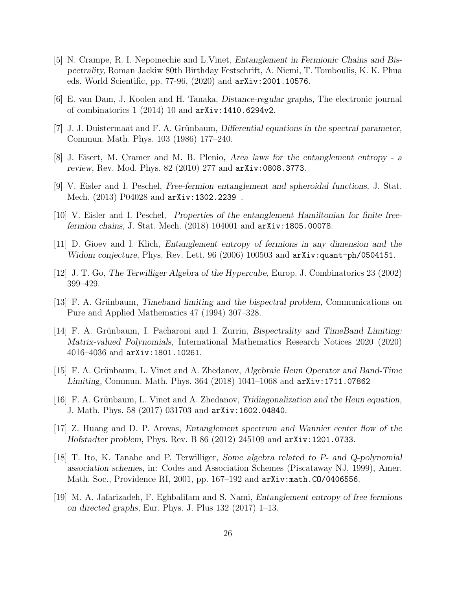- [5] N. Crampe, R. I. Nepomechie and L.Vinet, Entanglement in Fermionic Chains and Bispectrality, Roman Jackiw 80th Birthday Festschrift, A. Niemi, T. Tomboulis, K. K. Phua eds. World Scientific, pp. 77-96, (2020) and arXiv:2001.10576.
- [6] E. van Dam, J. Koolen and H. Tanaka, Distance-regular graphs, The electronic journal of combinatorics 1 (2014) 10 and arXiv:1410.6294v2.
- [7] J. J. Duistermaat and F. A. Grünbaum, Differential equations in the spectral parameter, Commun. Math. Phys. 103 (1986) 177–240.
- [8] J. Eisert, M. Cramer and M. B. Plenio, Area laws for the entanglement entropy a review, Rev. Mod. Phys. 82 (2010) 277 and arXiv:0808.3773.
- [9] V. Eisler and I. Peschel, Free-fermion entanglement and spheroidal functions, J. Stat. Mech. (2013) P04028 and arXiv:1302.2239 .
- [10] V. Eisler and I. Peschel, Properties of the entanglement Hamiltonian for finite freefermion chains, J. Stat. Mech. (2018) 104001 and arXiv:1805.00078.
- [11] D. Gioev and I. Klich, Entanglement entropy of fermions in any dimension and the Widom conjecture, Phys. Rev. Lett. 96 (2006) 100503 and  $arXiv:quant-ph/0504151$ .
- [12] J. T. Go, The Terwilliger Algebra of the Hypercube, Europ. J. Combinatorics 23 (2002) 399–429.
- [13] F. A. Grünbaum, Timeband limiting and the bispectral problem, Communications on Pure and Applied Mathematics 47 (1994) 307–328.
- [14] F. A. Grünbaum, I. Pacharoni and I. Zurrin, Bispectrality and TimeBand Limiting: Matrix-valued Polynomials, International Mathematics Research Notices 2020 (2020) 4016–4036 and arXiv:1801.10261.
- [15] F. A. Grünbaum, L. Vinet and A. Zhedanov, Algebraic Heun Operator and Band-Time Limiting, Commun. Math. Phys. 364 (2018) 1041–1068 and arXiv:1711.07862
- [16] F. A. Grünbaum, L. Vinet and A. Zhedanov, Tridiagonalization and the Heun equation, J. Math. Phys. 58 (2017) 031703 and arXiv:1602.04840.
- [17] Z. Huang and D. P. Arovas, Entanglement spectrum and Wannier center flow of the Hofstadter problem, Phys. Rev. B 86 (2012) 245109 and arXiv:1201.0733.
- [18] T. Ito, K. Tanabe and P. Terwilliger, Some algebra related to P- and Q-polynomial association schemes, in: Codes and Association Schemes (Piscataway NJ, 1999), Amer. Math. Soc., Providence RI, 2001, pp. 167–192 and arXiv:math.CO/0406556.
- [19] M. A. Jafarizadeh, F. Eghbalifam and S. Nami, Entanglement entropy of free fermions on directed graphs, Eur. Phys. J. Plus 132 (2017) 1–13.